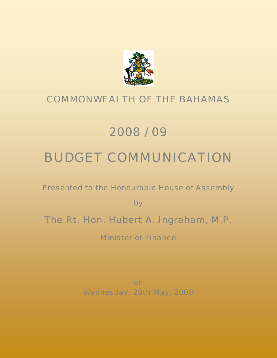

# COMMONWEALTH OF THE BAHAMAS

# 2008 / 09

# BUDGET COMMUNICATION

Presented to the Honourable House of Assembly

by

The Rt. Hon. Hubert A. Ingraham, M.P.

Minister of Finance

on Wednesday, 28th May, 2008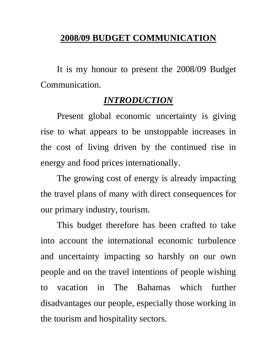# **2008/09 BUDGET COMMUNICATION**

It is my honour to present the 2008/09 Budget Communication.

# *INTRODUCTION*

 Present global economic uncertainty is giving rise to what appears to be unstoppable increases in the cost of living driven by the continued rise in energy and food prices internationally.

The growing cost of energy is already impacting the travel plans of many with direct consequences for our primary industry, tourism.

This budget therefore has been crafted to take into account the international economic turbulence and uncertainty impacting so harshly on our own people and on the travel intentions of people wishing to vacation in The Bahamas which further disadvantages our people, especially those working in the tourism and hospitality sectors.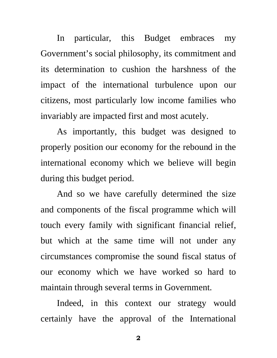In particular, this Budget embraces my Government's social philosophy, its commitment and its determination to cushion the harshness of the impact of the international turbulence upon our citizens, most particularly low income families who invariably are impacted first and most acutely.

 As importantly, this budget was designed to properly position our economy for the rebound in the international economy which we believe will begin during this budget period.

And so we have carefully determined the size and components of the fiscal programme which will touch every family with significant financial relief, but which at the same time will not under any circumstances compromise the sound fiscal status of our economy which we have worked so hard to maintain through several terms in Government.

Indeed, in this context our strategy would certainly have the approval of the International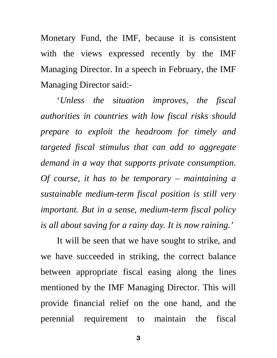Monetary Fund, the IMF, because it is consistent with the views expressed recently by the IMF Managing Director. In a speech in February, the IMF Managing Director said:-

'*Unless the situation improves, the fiscal authorities in countries with low fiscal risks should prepare to exploit the headroom for timely and targeted fiscal stimulus that can add to aggregate demand in a way that supports private consumption. Of course, it has to be temporary – maintaining a sustainable medium-term fiscal position is still very important. But in a sense, medium-term fiscal policy is all about saving for a rainy day. It is now raining.'* 

It will be seen that we have sought to strike, and we have succeeded in striking, the correct balance between appropriate fiscal easing along the lines mentioned by the IMF Managing Director. This will provide financial relief on the one hand, and the perennial requirement to maintain the fiscal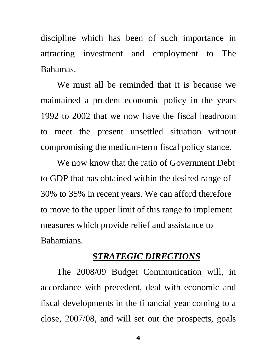discipline which has been of such importance in attracting investment and employment to The Bahamas.

 We must all be reminded that it is because we maintained a prudent economic policy in the years 1992 to 2002 that we now have the fiscal headroom to meet the present unsettled situation without compromising the medium-term fiscal policy stance.

We now know that the ratio of Government Debt to GDP that has obtained within the desired range of 30% to 35% in recent years. We can afford therefore to move to the upper limit of this range to implement measures which provide relief and assistance to Bahamians.

#### *STRATEGIC DIRECTIONS*

 The 2008/09 Budget Communication will, in accordance with precedent, deal with economic and fiscal developments in the financial year coming to a close, 2007/08, and will set out the prospects, goals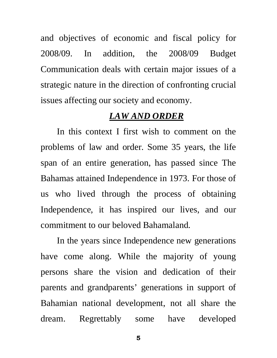and objectives of economic and fiscal policy for 2008/09. In addition, the 2008/09 Budget Communication deals with certain major issues of a strategic nature in the direction of confronting crucial issues affecting our society and economy.

## *LAW AND ORDER*

In this context I first wish to comment on the problems of law and order. Some 35 years, the life span of an entire generation, has passed since The Bahamas attained Independence in 1973. For those of us who lived through the process of obtaining Independence, it has inspired our lives, and our commitment to our beloved Bahamaland.

In the years since Independence new generations have come along. While the majority of young persons share the vision and dedication of their parents and grandparents' generations in support of Bahamian national development, not all share the dream. Regrettably some have developed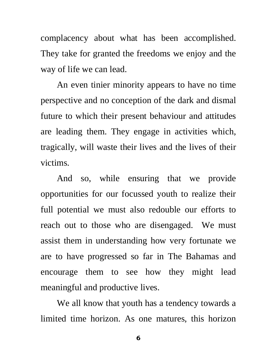complacency about what has been accomplished. They take for granted the freedoms we enjoy and the way of life we can lead.

An even tinier minority appears to have no time perspective and no conception of the dark and dismal future to which their present behaviour and attitudes are leading them. They engage in activities which, tragically, will waste their lives and the lives of their victims.

And so, while ensuring that we provide opportunities for our focussed youth to realize their full potential we must also redouble our efforts to reach out to those who are disengaged. We must assist them in understanding how very fortunate we are to have progressed so far in The Bahamas and encourage them to see how they might lead meaningful and productive lives.

We all know that youth has a tendency towards a limited time horizon. As one matures, this horizon

**6 6 6 6 6 6 6 6 6**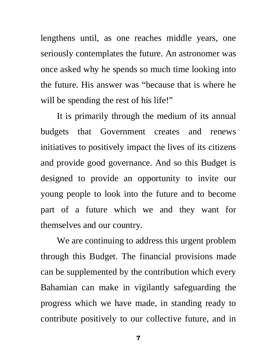lengthens until, as one reaches middle years, one seriously contemplates the future. An astronomer was once asked why he spends so much time looking into the future. His answer was "because that is where he will be spending the rest of his life!"

It is primarily through the medium of its annual budgets that Government creates and renews initiatives to positively impact the lives of its citizens and provide good governance. And so this Budget is designed to provide an opportunity to invite our young people to look into the future and to become part of a future which we and they want for themselves and our country.

We are continuing to address this urgent problem through this Budget. The financial provisions made can be supplemented by the contribution which every Bahamian can make in vigilantly safeguarding the progress which we have made, in standing ready to contribute positively to our collective future, and in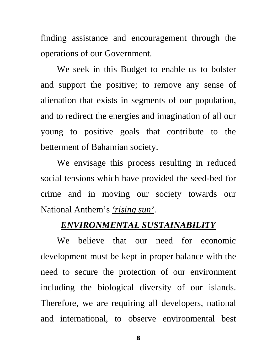finding assistance and encouragement through the operations of our Government.

We seek in this Budget to enable us to bolster and support the positive; to remove any sense of alienation that exists in segments of our population, and to redirect the energies and imagination of all our young to positive goals that contribute to the betterment of Bahamian society.

We envisage this process resulting in reduced social tensions which have provided the seed-bed for crime and in moving our society towards our National Anthem's *'rising sun'*.

# *ENVIRONMENTAL SUSTAINABILITY*

We believe that our need for economic development must be kept in proper balance with the need to secure the protection of our environment including the biological diversity of our islands. Therefore, we are requiring all developers, national and international, to observe environmental best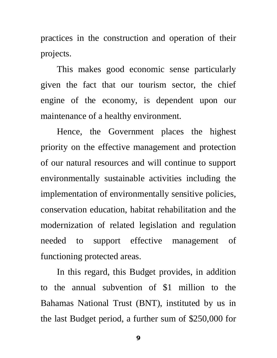practices in the construction and operation of their projects.

This makes good economic sense particularly given the fact that our tourism sector, the chief engine of the economy, is dependent upon our maintenance of a healthy environment.

Hence, the Government places the highest priority on the effective management and protection of our natural resources and will continue to support environmentally sustainable activities including the implementation of environmentally sensitive policies, conservation education, habitat rehabilitation and the modernization of related legislation and regulation needed to support effective management of functioning protected areas.

 In this regard, this Budget provides, in addition to the annual subvention of \$1 million to the Bahamas National Trust (BNT), instituted by us in the last Budget period, a further sum of \$250,000 for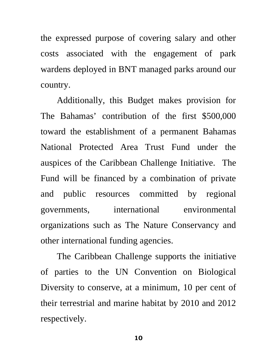the expressed purpose of covering salary and other costs associated with the engagement of park wardens deployed in BNT managed parks around our country.

 Additionally, this Budget makes provision for The Bahamas' contribution of the first \$500,000 toward the establishment of a permanent Bahamas National Protected Area Trust Fund under the auspices of the Caribbean Challenge Initiative. The Fund will be financed by a combination of private and public resources committed by regional governments, international environmental organizations such as The Nature Conservancy and other international funding agencies.

The Caribbean Challenge supports the initiative of parties to the UN Convention on Biological Diversity to conserve, at a minimum, 10 per cent of their terrestrial and marine habitat by 2010 and 2012 respectively.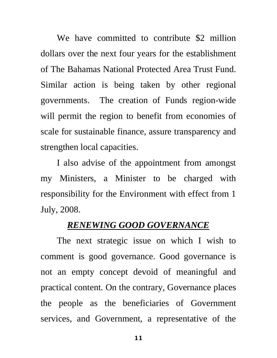We have committed to contribute \$2 million dollars over the next four years for the establishment of The Bahamas National Protected Area Trust Fund. Similar action is being taken by other regional governments. The creation of Funds region-wide will permit the region to benefit from economies of scale for sustainable finance, assure transparency and strengthen local capacities.

I also advise of the appointment from amongst my Ministers, a Minister to be charged with responsibility for the Environment with effect from 1 July, 2008.

#### *RENEWING GOOD GOVERNANCE*

The next strategic issue on which I wish to comment is good governance. Good governance is not an empty concept devoid of meaningful and practical content. On the contrary, Governance places the people as the beneficiaries of Government services, and Government, a representative of the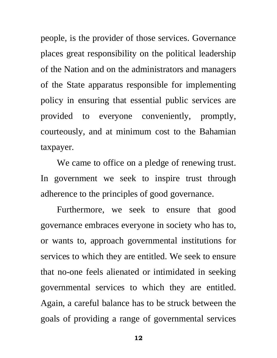people, is the provider of those services. Governance places great responsibility on the political leadership of the Nation and on the administrators and managers of the State apparatus responsible for implementing policy in ensuring that essential public services are provided to everyone conveniently, promptly, courteously, and at minimum cost to the Bahamian taxpayer.

We came to office on a pledge of renewing trust. In government we seek to inspire trust through adherence to the principles of good governance.

Furthermore, we seek to ensure that good governance embraces everyone in society who has to, or wants to, approach governmental institutions for services to which they are entitled. We seek to ensure that no-one feels alienated or intimidated in seeking governmental services to which they are entitled. Again, a careful balance has to be struck between the goals of providing a range of governmental services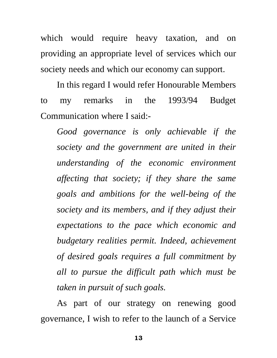which would require heavy taxation, and on providing an appropriate level of services which our society needs and which our economy can support.

In this regard I would refer Honourable Members to my remarks in the 1993/94 Budget Communication where I said:-

*Good governance is only achievable if the society and the government are united in their understanding of the economic environment affecting that society; if they share the same goals and ambitions for the well-being of the society and its members, and if they adjust their expectations to the pace which economic and budgetary realities permit. Indeed, achievement of desired goals requires a full commitment by all to pursue the difficult path which must be taken in pursuit of such goals.* 

As part of our strategy on renewing good governance, I wish to refer to the launch of a Service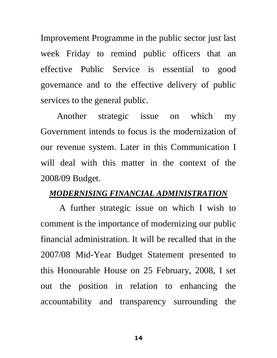Improvement Programme in the public sector just last week Friday to remind public officers that an effective Public Service is essential to good governance and to the effective delivery of public services to the general public.

Another strategic issue on which my Government intends to focus is the modernization of our revenue system. Later in this Communication I will deal with this matter in the context of the 2008/09 Budget.

#### *MODERNISING FINANCIAL ADMINISTRATION*

A further strategic issue on which I wish to comment is the importance of modernizing our public financial administration*.* It will be recalled that in the 2007/08 Mid-Year Budget Statement presented to this Honourable House on 25 February, 2008, I set out the position in relation to enhancing the accountability and transparency surrounding the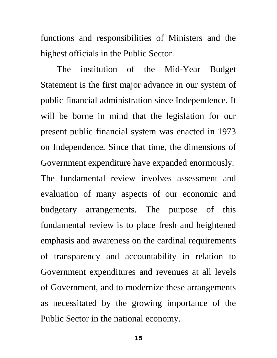functions and responsibilities of Ministers and the highest officials in the Public Sector.

The institution of the Mid-Year Budget Statement is the first major advance in our system of public financial administration since Independence. It will be borne in mind that the legislation for our present public financial system was enacted in 1973 on Independence. Since that time, the dimensions of Government expenditure have expanded enormously. The fundamental review involves assessment and evaluation of many aspects of our economic and budgetary arrangements. The purpose of this fundamental review is to place fresh and heightened emphasis and awareness on the cardinal requirements of transparency and accountability in relation to Government expenditures and revenues at all levels of Government, and to modernize these arrangements as necessitated by the growing importance of the

Public Sector in the national economy.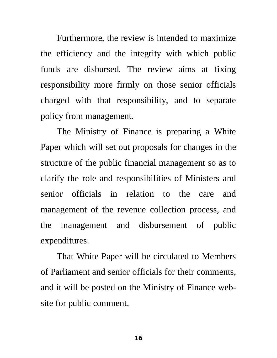Furthermore, the review is intended to maximize the efficiency and the integrity with which public funds are disbursed. The review aims at fixing responsibility more firmly on those senior officials charged with that responsibility, and to separate policy from management.

 The Ministry of Finance is preparing a White Paper which will set out proposals for changes in the structure of the public financial management so as to clarify the role and responsibilities of Ministers and senior officials in relation to the care and management of the revenue collection process, and the management and disbursement of public expenditures.

That White Paper will be circulated to Members of Parliament and senior officials for their comments, and it will be posted on the Ministry of Finance website for public comment.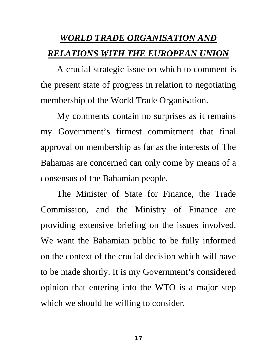# *WORLD TRADE ORGANISATION AND RELATIONS WITH THE EUROPEAN UNION*

A crucial strategic issue on which to comment is the present state of progress in relation to negotiating membership of the World Trade Organisation.

My comments contain no surprises as it remains my Government's firmest commitment that final approval on membership as far as the interests of The Bahamas are concerned can only come by means of a consensus of the Bahamian people*.* 

The Minister of State for Finance, the Trade Commission, and the Ministry of Finance are providing extensive briefing on the issues involved. We want the Bahamian public to be fully informed on the context of the crucial decision which will have to be made shortly. It is my Government's considered opinion that entering into the WTO is a major step which we should be willing to consider.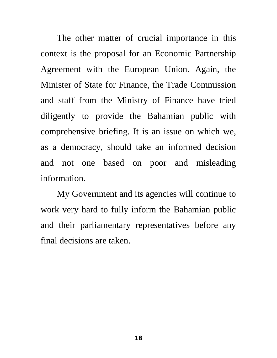The other matter of crucial importance in this context is the proposal for an Economic Partnership Agreement with the European Union. Again, the Minister of State for Finance, the Trade Commission and staff from the Ministry of Finance have tried diligently to provide the Bahamian public with comprehensive briefing. It is an issue on which we, as a democracy, should take an informed decision and not one based on poor and misleading information.

My Government and its agencies will continue to work very hard to fully inform the Bahamian public and their parliamentary representatives before any final decisions are taken.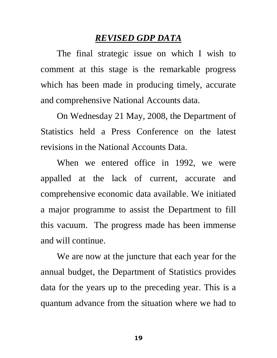# *REVISED GDP DATA*

 The final strategic issue on which I wish to comment at this stage is the remarkable progress which has been made in producing timely, accurate and comprehensive National Accounts data.

 On Wednesday 21 May, 2008, the Department of Statistics held a Press Conference on the latest revisions in the National Accounts Data.

When we entered office in 1992, we were appalled at the lack of current, accurate and comprehensive economic data available. We initiated a major programme to assist the Department to fill this vacuum. The progress made has been immense and will continue.

We are now at the juncture that each year for the annual budget, the Department of Statistics provides data for the years up to the preceding year. This is a quantum advance from the situation where we had to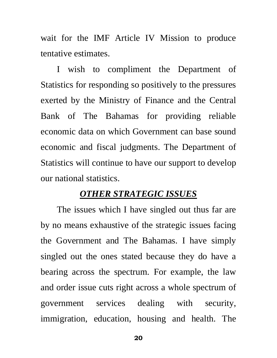wait for the IMF Article IV Mission to produce tentative estimates.

 I wish to compliment the Department of Statistics for responding so positively to the pressures exerted by the Ministry of Finance and the Central Bank of The Bahamas for providing reliable economic data on which Government can base sound economic and fiscal judgments. The Department of Statistics will continue to have our support to develop our national statistics.

### *OTHER STRATEGIC ISSUES*

 The issues which I have singled out thus far are by no means exhaustive of the strategic issues facing the Government and The Bahamas. I have simply singled out the ones stated because they do have a bearing across the spectrum. For example, the law and order issue cuts right across a whole spectrum of government services dealing with security, immigration, education, housing and health. The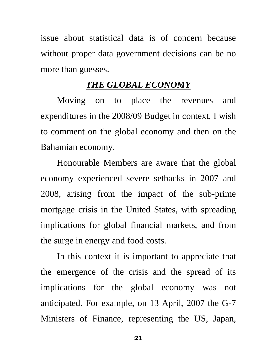issue about statistical data is of concern because without proper data government decisions can be no more than guesses.

# *THE GLOBAL ECONOMY*

Moving on to place the revenues and expenditures in the 2008/09 Budget in context, I wish to comment on the global economy and then on the Bahamian economy.

 Honourable Members are aware that the global economy experienced severe setbacks in 2007 and 2008, arising from the impact of the sub-prime mortgage crisis in the United States, with spreading implications for global financial markets, and from the surge in energy and food costs.

In this context it is important to appreciate that the emergence of the crisis and the spread of its implications for the global economy was not anticipated. For example, on 13 April, 2007 the G-7 Ministers of Finance, representing the US, Japan,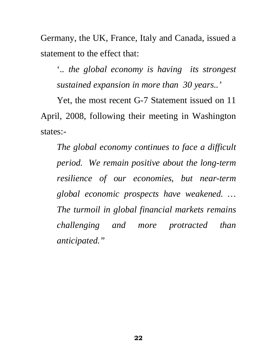Germany, the UK, France, Italy and Canada, issued a statement to the effect that:

'*.. the global economy is having its strongest sustained expansion in more than 30 years..'*

Yet, the most recent G-7 Statement issued on 11 April, 2008, following their meeting in Washington states:-

*The global economy continues to face a difficult period. We remain positive about the long-term resilience of our economies, but near-term global economic prospects have weakened. … The turmoil in global financial markets remains challenging and more protracted than anticipated."*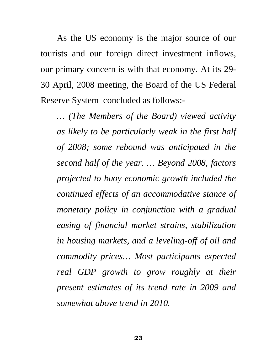As the US economy is the major source of our tourists and our foreign direct investment inflows, our primary concern is with that economy. At its 29- 30 April, 2008 meeting, the Board of the US Federal Reserve System concluded as follows:-

*… (The Members of the Board) viewed activity as likely to be particularly weak in the first half of 2008; some rebound was anticipated in the second half of the year. … Beyond 2008, factors projected to buoy economic growth included the continued effects of an accommodative stance of monetary policy in conjunction with a gradual easing of financial market strains, stabilization in housing markets, and a leveling-off of oil and commodity prices… Most participants expected real GDP growth to grow roughly at their present estimates of its trend rate in 2009 and somewhat above trend in 2010.*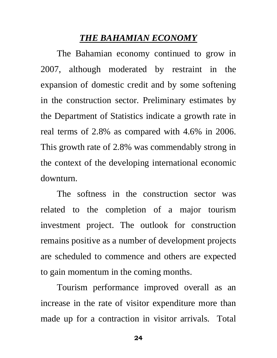## *THE BAHAMIAN ECONOMY*

 The Bahamian economy continued to grow in 2007, although moderated by restraint in the expansion of domestic credit and by some softening in the construction sector. Preliminary estimates by the Department of Statistics indicate a growth rate in real terms of 2.8% as compared with 4.6% in 2006. This growth rate of 2.8% was commendably strong in the context of the developing international economic downturn.

The softness in the construction sector was related to the completion of a major tourism investment project. The outlook for construction remains positive as a number of development projects are scheduled to commence and others are expected to gain momentum in the coming months.

Tourism performance improved overall as an increase in the rate of visitor expenditure more than made up for a contraction in visitor arrivals. Total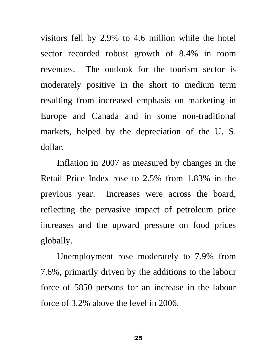visitors fell by 2.9% to 4.6 million while the hotel sector recorded robust growth of 8.4% in room revenues. The outlook for the tourism sector is moderately positive in the short to medium term resulting from increased emphasis on marketing in Europe and Canada and in some non-traditional markets, helped by the depreciation of the U. S. dollar.

Inflation in 2007 as measured by changes in the Retail Price Index rose to 2.5% from 1.83% in the previous year. Increases were across the board, reflecting the pervasive impact of petroleum price increases and the upward pressure on food prices globally.

Unemployment rose moderately to 7.9% from 7.6%, primarily driven by the additions to the labour force of 5850 persons for an increase in the labour force of 3.2% above the level in 2006.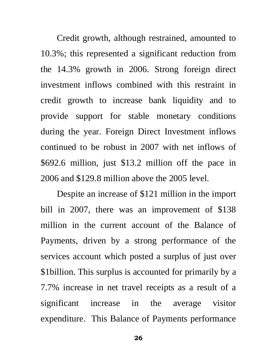Credit growth, although restrained, amounted to 10.3%; this represented a significant reduction from the 14.3% growth in 2006. Strong foreign direct investment inflows combined with this restraint in credit growth to increase bank liquidity and to provide support for stable monetary conditions during the year. Foreign Direct Investment inflows continued to be robust in 2007 with net inflows of \$692.6 million, just \$13.2 million off the pace in 2006 and \$129.8 million above the 2005 level.

Despite an increase of \$121 million in the import bill in 2007, there was an improvement of \$138 million in the current account of the Balance of Payments, driven by a strong performance of the services account which posted a surplus of just over \$1billion. This surplus is accounted for primarily by a 7.7% increase in net travel receipts as a result of a significant increase in the average visitor expenditure. This Balance of Payments performance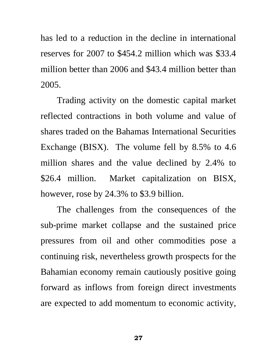has led to a reduction in the decline in international reserves for 2007 to \$454.2 million which was \$33.4 million better than 2006 and \$43.4 million better than 2005.

Trading activity on the domestic capital market reflected contractions in both volume and value of shares traded on the Bahamas International Securities Exchange (BISX). The volume fell by 8.5% to 4.6 million shares and the value declined by 2.4% to \$26.4 million. Market capitalization on BISX, however, rose by 24.3% to \$3.9 billion.

 The challenges from the consequences of the sub-prime market collapse and the sustained price pressures from oil and other commodities pose a continuing risk, nevertheless growth prospects for the Bahamian economy remain cautiously positive going forward as inflows from foreign direct investments are expected to add momentum to economic activity,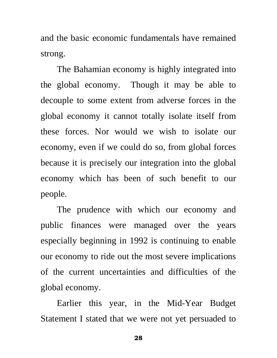and the basic economic fundamentals have remained strong.

The Bahamian economy is highly integrated into the global economy. Though it may be able to decouple to some extent from adverse forces in the global economy it cannot totally isolate itself from these forces. Nor would we wish to isolate our economy, even if we could do so, from global forces because it is precisely our integration into the global economy which has been of such benefit to our people.

The prudence with which our economy and public finances were managed over the years especially beginning in 1992 is continuing to enable our economy to ride out the most severe implications of the current uncertainties and difficulties of the global economy.

 Earlier this year, in the Mid-Year Budget Statement I stated that we were not yet persuaded to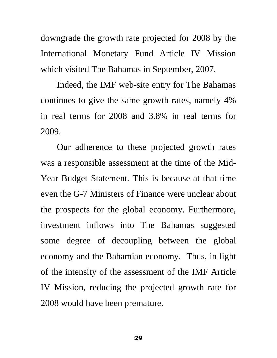downgrade the growth rate projected for 2008 by the International Monetary Fund Article IV Mission which visited The Bahamas in September, 2007.

Indeed, the IMF web-site entry for The Bahamas continues to give the same growth rates, namely 4% in real terms for 2008 and 3.8% in real terms for 2009.

Our adherence to these projected growth rates was a responsible assessment at the time of the Mid-Year Budget Statement. This is because at that time even the G-7 Ministers of Finance were unclear about the prospects for the global economy. Furthermore, investment inflows into The Bahamas suggested some degree of decoupling between the global economy and the Bahamian economy. Thus, in light of the intensity of the assessment of the IMF Article IV Mission, reducing the projected growth rate for 2008 would have been premature.

ا 29 مارس با تاريخ المارس با تاريخ المارس با تاريخ المارس با تاريخ المارس با تاريخ المارس با تاريخ المارس با<br>المارس با تاريخ المارس با تاريخ المارس با تاريخ المارس با تاريخ المارس با تاريخ المارس با تاريخ المارس با تاريخ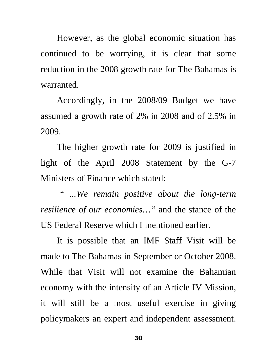However, as the global economic situation has continued to be worrying, it is clear that some reduction in the 2008 growth rate for The Bahamas is warranted.

Accordingly, in the 2008/09 Budget we have assumed a growth rate of 2% in 2008 and of 2.5% in 2009.

The higher growth rate for 2009 is justified in light of the April 2008 Statement by the G-7 Ministers of Finance which stated:

*" ...We remain positive about the long-term resilience of our economies…"* and the stance of the US Federal Reserve which I mentioned earlier.

It is possible that an IMF Staff Visit will be made to The Bahamas in September or October 2008. While that Visit will not examine the Bahamian economy with the intensity of an Article IV Mission, it will still be a most useful exercise in giving policymakers an expert and independent assessment.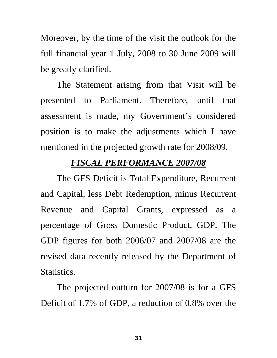Moreover, by the time of the visit the outlook for the full financial year 1 July, 2008 to 30 June 2009 will be greatly clarified.

The Statement arising from that Visit will be presented to Parliament. Therefore, until that assessment is made, my Government's considered position is to make the adjustments which I have mentioned in the projected growth rate for 2008/09.

# *FISCAL PERFORMANCE 2007/08*

The GFS Deficit is Total Expenditure, Recurrent and Capital, less Debt Redemption, minus Recurrent Revenue and Capital Grants, expressed as a percentage of Gross Domestic Product, GDP. The GDP figures for both 2006/07 and 2007/08 are the revised data recently released by the Department of Statistics.

The projected outturn for 2007/08 is for a GFS Deficit of 1.7% of GDP, a reduction of 0.8% over the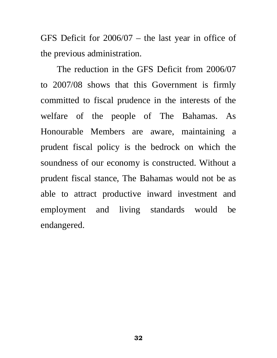GFS Deficit for 2006/07 – the last year in office of the previous administration.

 The reduction in the GFS Deficit from 2006/07 to 2007/08 shows that this Government is firmly committed to fiscal prudence in the interests of the welfare of the people of The Bahamas. As Honourable Members are aware, maintaining a prudent fiscal policy is the bedrock on which the soundness of our economy is constructed. Without a prudent fiscal stance, The Bahamas would not be as able to attract productive inward investment and employment and living standards would be endangered.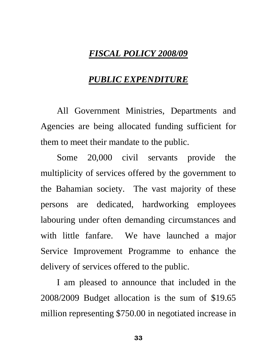# *FISCAL POLICY 2008/09*

# *PUBLIC EXPENDITURE*

All Government Ministries, Departments and Agencies are being allocated funding sufficient for them to meet their mandate to the public.

Some 20,000 civil servants provide the multiplicity of services offered by the government to the Bahamian society. The vast majority of these persons are dedicated, hardworking employees labouring under often demanding circumstances and with little fanfare. We have launched a major Service Improvement Programme to enhance the delivery of services offered to the public.

I am pleased to announce that included in the 2008/2009 Budget allocation is the sum of \$19.65 million representing \$750.00 in negotiated increase in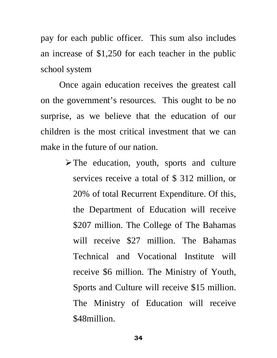pay for each public officer. This sum also includes an increase of \$1,250 for each teacher in the public school system

Once again education receives the greatest call on the government's resources. This ought to be no surprise, as we believe that the education of our children is the most critical investment that we can make in the future of our nation.

> $\triangleright$  The education, youth, sports and culture services receive a total of \$ 312 million, or 20% of total Recurrent Expenditure. Of this, the Department of Education will receive \$207 million. The College of The Bahamas will receive \$27 million. The Bahamas Technical and Vocational Institute will receive \$6 million. The Ministry of Youth, Sports and Culture will receive \$15 million. The Ministry of Education will receive \$48million.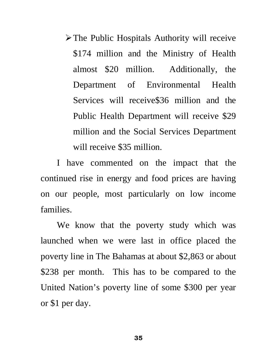$\triangleright$  The Public Hospitals Authority will receive \$174 million and the Ministry of Health almost \$20 million. Additionally, the Department of Environmental Health Services will receive\$36 million and the Public Health Department will receive \$29 million and the Social Services Department will receive \$35 million.

I have commented on the impact that the continued rise in energy and food prices are having on our people, most particularly on low income families.

We know that the poverty study which was launched when we were last in office placed the poverty line in The Bahamas at about \$2,863 or about \$238 per month. This has to be compared to the United Nation's poverty line of some \$300 per year or \$1 per day.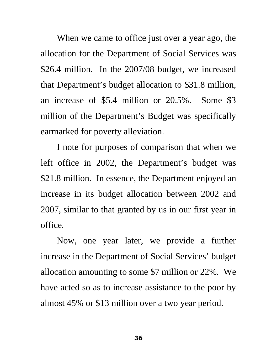When we came to office just over a year ago, the allocation for the Department of Social Services was \$26.4 million. In the 2007/08 budget, we increased that Department's budget allocation to \$31.8 million, an increase of \$5.4 million or 20.5%. Some \$3 million of the Department's Budget was specifically earmarked for poverty alleviation.

I note for purposes of comparison that when we left office in 2002, the Department's budget was \$21.8 million. In essence, the Department enjoyed an increase in its budget allocation between 2002 and 2007, similar to that granted by us in our first year in office.

Now, one year later, we provide a further increase in the Department of Social Services' budget allocation amounting to some \$7 million or 22%. We have acted so as to increase assistance to the poor by almost 45% or \$13 million over a two year period.

ل المساوات المساوات المساوات المساوات المساوات المساوات المساوات المساوات المساوات المساوات المساوات المساوات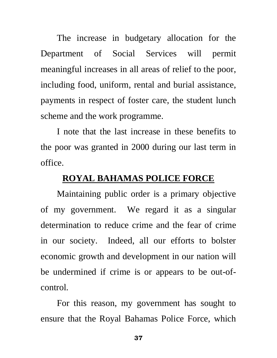The increase in budgetary allocation for the Department of Social Services will permit meaningful increases in all areas of relief to the poor, including food, uniform, rental and burial assistance, payments in respect of foster care, the student lunch scheme and the work programme.

I note that the last increase in these benefits to the poor was granted in 2000 during our last term in office.

### **ROYAL BAHAMAS POLICE FORCE**

Maintaining public order is a primary objective of my government. We regard it as a singular determination to reduce crime and the fear of crime in our society. Indeed, all our efforts to bolster economic growth and development in our nation will be undermined if crime is or appears to be out-ofcontrol.

For this reason, my government has sought to ensure that the Royal Bahamas Police Force, which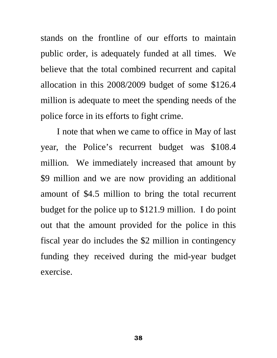stands on the frontline of our efforts to maintain public order, is adequately funded at all times. We believe that the total combined recurrent and capital allocation in this 2008/2009 budget of some \$126.4 million is adequate to meet the spending needs of the police force in its efforts to fight crime.

I note that when we came to office in May of last year, the Police's recurrent budget was \$108.4 million. We immediately increased that amount by \$9 million and we are now providing an additional amount of \$4.5 million to bring the total recurrent budget for the police up to \$121.9 million. I do point out that the amount provided for the police in this fiscal year do includes the \$2 million in contingency funding they received during the mid-year budget exercise.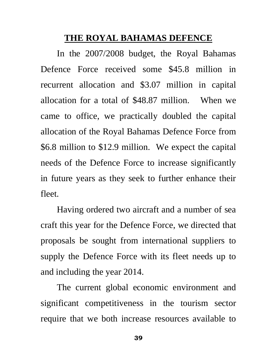### **THE ROYAL BAHAMAS DEFENCE**

In the 2007/2008 budget, the Royal Bahamas Defence Force received some \$45.8 million in recurrent allocation and \$3.07 million in capital allocation for a total of \$48.87 million. When we came to office, we practically doubled the capital allocation of the Royal Bahamas Defence Force from \$6.8 million to \$12.9 million. We expect the capital needs of the Defence Force to increase significantly in future years as they seek to further enhance their fleet.

Having ordered two aircraft and a number of sea craft this year for the Defence Force, we directed that proposals be sought from international suppliers to supply the Defence Force with its fleet needs up to and including the year 2014.

The current global economic environment and significant competitiveness in the tourism sector require that we both increase resources available to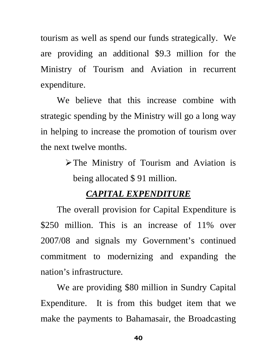tourism as well as spend our funds strategically. We are providing an additional \$9.3 million for the Ministry of Tourism and Aviation in recurrent expenditure.

We believe that this increase combine with strategic spending by the Ministry will go a long way in helping to increase the promotion of tourism over the next twelve months.

> $\triangleright$  The Ministry of Tourism and Aviation is being allocated \$ 91 million.

## *CAPITAL EXPENDITURE*

 The overall provision for Capital Expenditure is \$250 million. This is an increase of 11% over 2007/08 and signals my Government's continued commitment to modernizing and expanding the nation's infrastructure.

We are providing \$80 million in Sundry Capital Expenditure. It is from this budget item that we make the payments to Bahamasair, the Broadcasting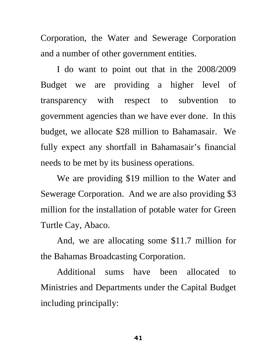Corporation, the Water and Sewerage Corporation and a number of other government entities.

I do want to point out that in the 2008/2009 Budget we are providing a higher level of transparency with respect to subvention to government agencies than we have ever done. In this budget, we allocate \$28 million to Bahamasair. We fully expect any shortfall in Bahamasair's financial needs to be met by its business operations.

We are providing \$19 million to the Water and Sewerage Corporation. And we are also providing \$3 million for the installation of potable water for Green Turtle Cay, Abaco.

And, we are allocating some \$11.7 million for the Bahamas Broadcasting Corporation.

 Additional sums have been allocated to Ministries and Departments under the Capital Budget including principally:

**41**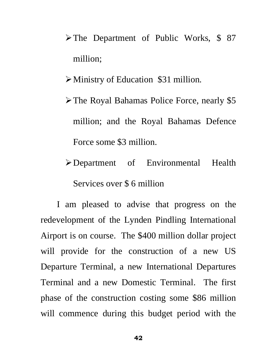- $\triangleright$  The Department of Public Works, \$ 87 million;
- $\triangleright$  Ministry of Education \$31 million.
- $\triangleright$  The Royal Bahamas Police Force, nearly \$5 million; and the Royal Bahamas Defence Force some \$3 million.
- ¾Department of Environmental Health Services over \$ 6 million

 I am pleased to advise that progress on the redevelopment of the Lynden Pindling International Airport is on course. The \$400 million dollar project will provide for the construction of a new US Departure Terminal, a new International Departures Terminal and a new Domestic Terminal. The first phase of the construction costing some \$86 million will commence during this budget period with the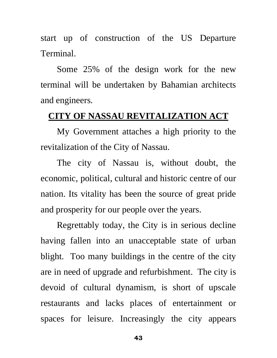start up of construction of the US Departure Terminal.

 Some 25% of the design work for the new terminal will be undertaken by Bahamian architects and engineers.

## **CITY OF NASSAU REVITALIZATION ACT**

My Government attaches a high priority to the revitalization of the City of Nassau.

The city of Nassau is, without doubt, the economic, political, cultural and historic centre of our nation. Its vitality has been the source of great pride and prosperity for our people over the years.

Regrettably today, the City is in serious decline having fallen into an unacceptable state of urban blight. Too many buildings in the centre of the city are in need of upgrade and refurbishment. The city is devoid of cultural dynamism, is short of upscale restaurants and lacks places of entertainment or spaces for leisure. Increasingly the city appears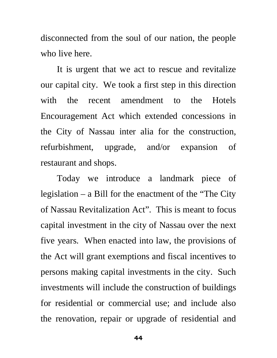disconnected from the soul of our nation, the people who live here.

It is urgent that we act to rescue and revitalize our capital city. We took a first step in this direction with the recent amendment to the Hotels Encouragement Act which extended concessions in the City of Nassau inter alia for the construction, refurbishment, upgrade, and/or expansion of restaurant and shops.

Today we introduce a landmark piece of legislation – a Bill for the enactment of the "The City of Nassau Revitalization Act". This is meant to focus capital investment in the city of Nassau over the next five years. When enacted into law, the provisions of the Act will grant exemptions and fiscal incentives to persons making capital investments in the city. Such investments will include the construction of buildings for residential or commercial use; and include also the renovation, repair or upgrade of residential and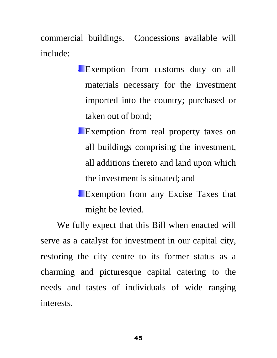commercial buildings. Concessions available will include:

- **Exemption from customs duty on all** materials necessary for the investment imported into the country; purchased or taken out of bond;
- **Exemption from real property taxes on** all buildings comprising the investment, all additions thereto and land upon which the investment is situated; and
- **Exemption from any Excise Taxes that** might be levied.

We fully expect that this Bill when enacted will serve as a catalyst for investment in our capital city, restoring the city centre to its former status as a charming and picturesque capital catering to the needs and tastes of individuals of wide ranging interests.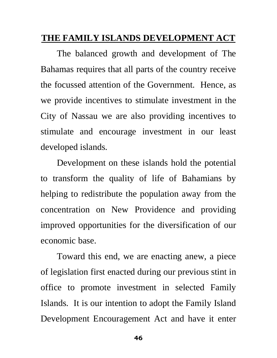## **THE FAMILY ISLANDS DEVELOPMENT ACT**

The balanced growth and development of The Bahamas requires that all parts of the country receive the focussed attention of the Government. Hence, as we provide incentives to stimulate investment in the City of Nassau we are also providing incentives to stimulate and encourage investment in our least developed islands.

Development on these islands hold the potential to transform the quality of life of Bahamians by helping to redistribute the population away from the concentration on New Providence and providing improved opportunities for the diversification of our economic base.

Toward this end, we are enacting anew, a piece of legislation first enacted during our previous stint in office to promote investment in selected Family Islands. It is our intention to adopt the Family Island Development Encouragement Act and have it enter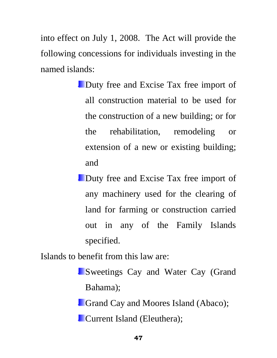into effect on July 1, 2008. The Act will provide the following concessions for individuals investing in the named islands:

- **Duty free and Excise Tax free import of** all construction material to be used for the construction of a new building; or for the rehabilitation, remodeling or extension of a new or existing building; and
- **Duty free and Excise Tax free import of** any machinery used for the clearing of land for farming or construction carried out in any of the Family Islands specified.

Islands to benefit from this law are:

- Sweetings Cay and Water Cay (Grand Bahama);
- **Grand Cay and Moores Island (Abaco);**
- **Current Island (Eleuthera);**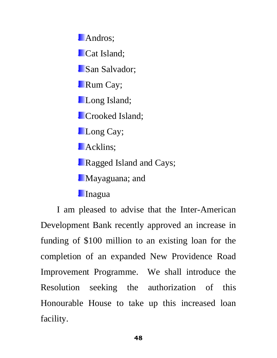**Andros**;

**Cat Island**;

**San Salvador;** 

**Rum Cay;** 

**Long Island**;

**Crooked Island**;

**Long Cay**;

**Acklins**;

**Ragged Island and Cays;** 

**Mayaguana**; and

**I**nagua

I am pleased to advise that the Inter-American Development Bank recently approved an increase in funding of \$100 million to an existing loan for the completion of an expanded New Providence Road Improvement Programme. We shall introduce the Resolution seeking the authorization of this Honourable House to take up this increased loan facility.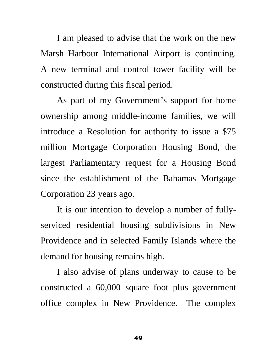I am pleased to advise that the work on the new Marsh Harbour International Airport is continuing. A new terminal and control tower facility will be constructed during this fiscal period.

 As part of my Government's support for home ownership among middle-income families, we will introduce a Resolution for authority to issue a \$75 million Mortgage Corporation Housing Bond, the largest Parliamentary request for a Housing Bond since the establishment of the Bahamas Mortgage Corporation 23 years ago.

It is our intention to develop a number of fullyserviced residential housing subdivisions in New Providence and in selected Family Islands where the demand for housing remains high.

 I also advise of plans underway to cause to be constructed a 60,000 square foot plus government office complex in New Providence. The complex

ل 1994 - المراجع المراجع المراجع المراجع المراجع المراجع المراجع المراجع المراجع المراجع المراجع المراجع المرا<br>المراجع المراجع المراجع المراجع المراجع المراجع المراجع المراجع المراجع المراجع المراجع المراجع المراجع المرا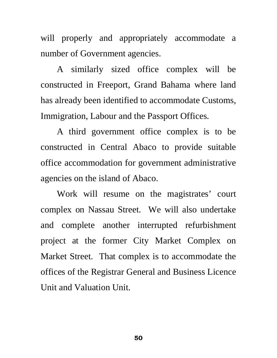will properly and appropriately accommodate a number of Government agencies.

 A similarly sized office complex will be constructed in Freeport, Grand Bahama where land has already been identified to accommodate Customs, Immigration, Labour and the Passport Offices.

 A third government office complex is to be constructed in Central Abaco to provide suitable office accommodation for government administrative agencies on the island of Abaco.

 Work will resume on the magistrates' court complex on Nassau Street. We will also undertake and complete another interrupted refurbishment project at the former City Market Complex on Market Street. That complex is to accommodate the offices of the Registrar General and Business Licence Unit and Valuation Unit.

**1999 1999 1999 1999 1999 1999 1999**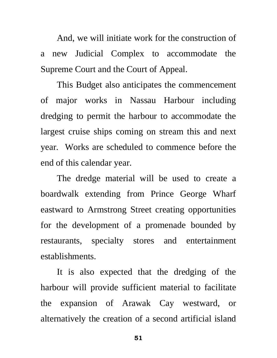And, we will initiate work for the construction of a new Judicial Complex to accommodate the Supreme Court and the Court of Appeal.

 This Budget also anticipates the commencement of major works in Nassau Harbour including dredging to permit the harbour to accommodate the largest cruise ships coming on stream this and next year. Works are scheduled to commence before the end of this calendar year.

 The dredge material will be used to create a boardwalk extending from Prince George Wharf eastward to Armstrong Street creating opportunities for the development of a promenade bounded by restaurants, specialty stores and entertainment establishments.

 It is also expected that the dredging of the harbour will provide sufficient material to facilitate the expansion of Arawak Cay westward, or alternatively the creation of a second artificial island

**51**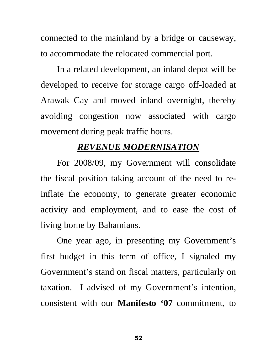connected to the mainland by a bridge or causeway, to accommodate the relocated commercial port.

In a related development, an inland depot will be developed to receive for storage cargo off-loaded at Arawak Cay and moved inland overnight, thereby avoiding congestion now associated with cargo movement during peak traffic hours.

## *REVENUE MODERNISATION*

For 2008/09, my Government will consolidate the fiscal position taking account of the need to reinflate the economy, to generate greater economic activity and employment, and to ease the cost of living borne by Bahamians.

One year ago, in presenting my Government's first budget in this term of office, I signaled my Government's stand on fiscal matters, particularly on taxation. I advised of my Government's intention, consistent with our **Manifesto '07** commitment, to

ا **52** هـ - محمد المسافر المسافر المسافر المسافر المسافر المسافر المسافر المسافر المسافر المسافر المسافر المسافر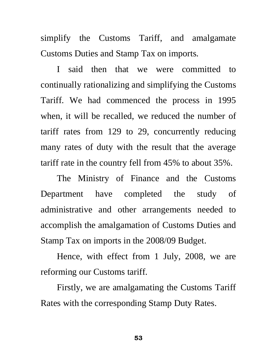simplify the Customs Tariff, and amalgamate Customs Duties and Stamp Tax on imports.

I said then that we were committed to continually rationalizing and simplifying the Customs Tariff. We had commenced the process in 1995 when, it will be recalled, we reduced the number of tariff rates from 129 to 29, concurrently reducing many rates of duty with the result that the average tariff rate in the country fell from 45% to about 35%.

 The Ministry of Finance and the Customs Department have completed the study of administrative and other arrangements needed to accomplish the amalgamation of Customs Duties and Stamp Tax on imports in the 2008/09 Budget.

 Hence, with effect from 1 July, 2008, we are reforming our Customs tariff.

 Firstly, we are amalgamating the Customs Tariff Rates with the corresponding Stamp Duty Rates.

ا **53** هـ - المسافر المسافر المسافر المسافر المسافر المسافر المسافر المسافر المسافر المسافر المسافر المسافر ا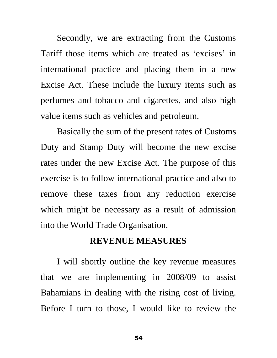Secondly, we are extracting from the Customs Tariff those items which are treated as 'excises' in international practice and placing them in a new Excise Act. These include the luxury items such as perfumes and tobacco and cigarettes, and also high value items such as vehicles and petroleum.

Basically the sum of the present rates of Customs Duty and Stamp Duty will become the new excise rates under the new Excise Act. The purpose of this exercise is to follow international practice and also to remove these taxes from any reduction exercise which might be necessary as a result of admission into the World Trade Organisation.

## **REVENUE MEASURES**

I will shortly outline the key revenue measures that we are implementing in 2008/09 to assist Bahamians in dealing with the rising cost of living. Before I turn to those, I would like to review the

ل المراجع المراجع المراجع المراجع المراجع المراجع المراجع المراجع المراجع المراجع المراجع المراجع المراجع المر<br>المراجع المراجع المراجع المراجع المراجع المراجع المراجع المراجع المراجع المراجع المراجع المراجع المراجع المرا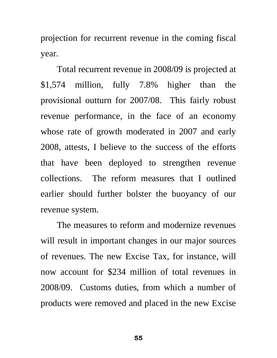projection for recurrent revenue in the coming fiscal year.

 Total recurrent revenue in 2008/09 is projected at \$1,574 million, fully 7.8% higher than the provisional outturn for 2007/08. This fairly robust revenue performance, in the face of an economy whose rate of growth moderated in 2007 and early 2008, attests, I believe to the success of the efforts that have been deployed to strengthen revenue collections. The reform measures that I outlined earlier should further bolster the buoyancy of our revenue system.

 The measures to reform and modernize revenues will result in important changes in our major sources of revenues. The new Excise Tax, for instance, will now account for \$234 million of total revenues in 2008/09. Customs duties, from which a number of products were removed and placed in the new Excise

ا **55** مارس المستخدم المستخدم المستخدم المستخدم المستخدم المستخدم المستخدم المستخدم المستخدم المستخدم المستخدم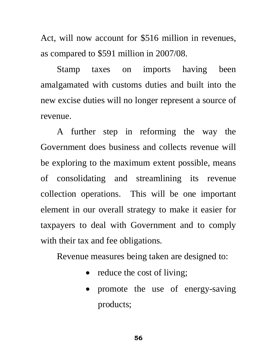Act, will now account for \$516 million in revenues, as compared to \$591 million in 2007/08.

 Stamp taxes on imports having been amalgamated with customs duties and built into the new excise duties will no longer represent a source of revenue.

A further step in reforming the way the Government does business and collects revenue will be exploring to the maximum extent possible, means of consolidating and streamlining its revenue collection operations. This will be one important element in our overall strategy to make it easier for taxpayers to deal with Government and to comply with their tax and fee obligations.

Revenue measures being taken are designed to:

- reduce the cost of living;
- promote the use of energy-saving products;

ا **56** هـ - المسافر المسافر المسافر المسافر المسافر المسافر المسافر المسافر المسافر المسافر المسافر المسافر ا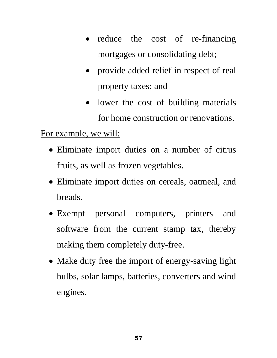- reduce the cost of re-financing mortgages or consolidating debt;
- provide added relief in respect of real property taxes; and
- lower the cost of building materials for home construction or renovations.

For example, we will:

- Eliminate import duties on a number of citrus fruits, as well as frozen vegetables.
- Eliminate import duties on cereals, oatmeal, and breads.
- Exempt personal computers, printers and software from the current stamp tax, thereby making them completely duty-free.
- Make duty free the import of energy-saving light bulbs, solar lamps, batteries, converters and wind engines.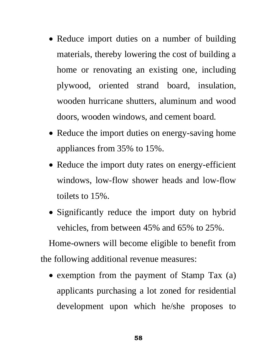- Reduce import duties on a number of building materials, thereby lowering the cost of building a home or renovating an existing one, including plywood, oriented strand board, insulation, wooden hurricane shutters, aluminum and wood doors, wooden windows, and cement board.
- Reduce the import duties on energy-saving home appliances from 35% to 15%.
- Reduce the import duty rates on energy-efficient windows, low-flow shower heads and low-flow toilets to 15%.
- Significantly reduce the import duty on hybrid vehicles, from between 45% and 65% to 25%.

Home-owners will become eligible to benefit from the following additional revenue measures:

• exemption from the payment of Stamp Tax (a) applicants purchasing a lot zoned for residential development upon which he/she proposes to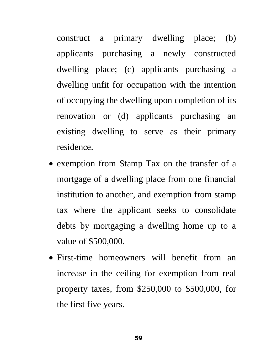construct a primary dwelling place; (b) applicants purchasing a newly constructed dwelling place; (c) applicants purchasing a dwelling unfit for occupation with the intention of occupying the dwelling upon completion of its renovation or (d) applicants purchasing an existing dwelling to serve as their primary residence.

- exemption from Stamp Tax on the transfer of a mortgage of a dwelling place from one financial institution to another, and exemption from stamp tax where the applicant seeks to consolidate debts by mortgaging a dwelling home up to a value of \$500,000.
- First-time homeowners will benefit from an increase in the ceiling for exemption from real property taxes, from \$250,000 to \$500,000, for the first five years.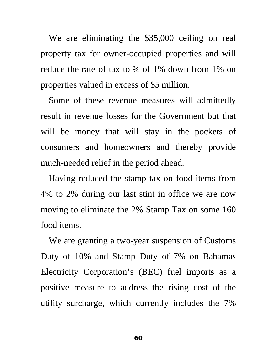We are eliminating the \$35,000 ceiling on real property tax for owner-occupied properties and will reduce the rate of tax to  $\frac{3}{4}$  of 1% down from 1% on properties valued in excess of \$5 million.

Some of these revenue measures will admittedly result in revenue losses for the Government but that will be money that will stay in the pockets of consumers and homeowners and thereby provide much-needed relief in the period ahead.

Having reduced the stamp tax on food items from 4% to 2% during our last stint in office we are now moving to eliminate the 2% Stamp Tax on some 160 food items.

We are granting a two-year suspension of Customs Duty of 10% and Stamp Duty of 7% on Bahamas Electricity Corporation's (BEC) fuel imports as a positive measure to address the rising cost of the utility surcharge, which currently includes the 7%

 **60**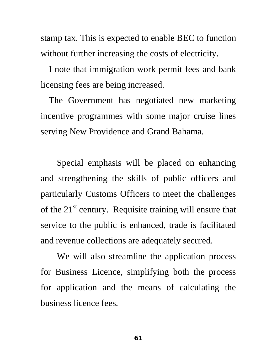stamp tax. This is expected to enable BEC to function without further increasing the costs of electricity.

I note that immigration work permit fees and bank licensing fees are being increased.

The Government has negotiated new marketing incentive programmes with some major cruise lines serving New Providence and Grand Bahama.

Special emphasis will be placed on enhancing and strengthening the skills of public officers and particularly Customs Officers to meet the challenges of the  $21<sup>st</sup>$  century. Requisite training will ensure that service to the public is enhanced, trade is facilitated and revenue collections are adequately secured.

We will also streamline the application process for Business Licence, simplifying both the process for application and the means of calculating the business licence fees.

**61**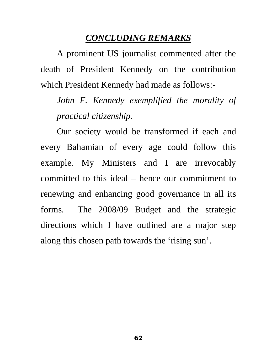## *CONCLUDING REMARKS*

 A prominent US journalist commented after the death of President Kennedy on the contribution which President Kennedy had made as follows:-

*John F. Kennedy exemplified the morality of practical citizenship.* 

Our society would be transformed if each and every Bahamian of every age could follow this example. My Ministers and I are irrevocably committed to this ideal – hence our commitment to renewing and enhancing good governance in all its forms. The 2008/09 Budget and the strategic directions which I have outlined are a major step along this chosen path towards the 'rising sun'.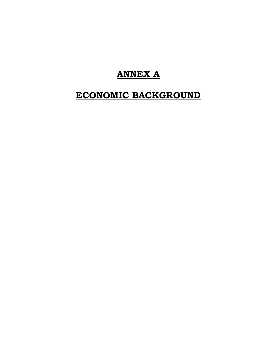# **ANNEX A**

# **ECONOMIC BACKGROUND**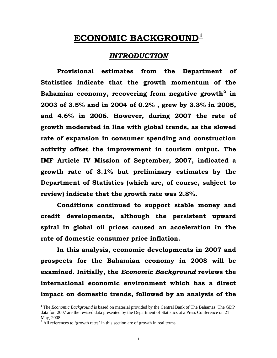## **ECONOMIC BACKGROUND[1](#page-64-0)**

### *INTRODUCTION*

**Provisional estimates from the Department of Statistics indicate that the growth momentum of the Bahamian economy, recovering from negative growth[2](#page-64-1) in 2003 of 3.5% and in 2004 of 0.2% , grew by 3.3% in 2005, and 4.6% in 2006. However, during 2007 the rate of growth moderated in line with global trends, as the slowed rate of expansion in consumer spending and construction activity offset the improvement in tourism output. The IMF Article IV Mission of September, 2007, indicated a growth rate of 3.1% but preliminary estimates by the Department of Statistics (which are, of course, subject to review) indicate that the growth rate was 2.8%.** 

**Conditions continued to support stable money and credit developments, although the persistent upward spiral in global oil prices caused an acceleration in the rate of domestic consumer price inflation.** 

**In this analysis, economic developments in 2007 and prospects for the Bahamian economy in 2008 will be examined. Initially, the** *Economic Background* **reviews the international economic environment which has a direct impact on domestic trends, followed by an analysis of the** 

 $\overline{a}$ 

<span id="page-64-0"></span><sup>&</sup>lt;sup>1</sup> The *Economic Background* is based on material provided by the Central Bank of The Bahamas. The GDP data for 2007 are the revised data presented by the Department of Statistics at a Press Conference on 21 May, 2008.

<span id="page-64-1"></span> $2$  All references to 'growth rates' in this section are of growth in real terms.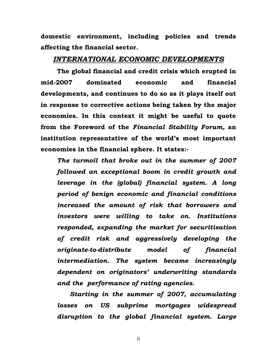**domestic environment, including policies and trends affecting the financial sector.** 

### *INTERNATIONAL ECONOMIC DEVELOPMENTS*

**The global financial and credit crisis which erupted in mid-2007 dominated economic and financial developments, and continues to do so as it plays itself out in response to corrective actions being taken by the major economies. In this context it might be useful to quote from the Foreword of the** *Financial Stability Forum,* **an institution representative of the world's most important economies in the financial sphere. It states:-** 

*The turmoil that broke out in the summer of 2007 followed an exceptional boom in credit growth and leverage in the (global) financial system. A long period of benign economic and financial conditions increased the amount of risk that borrowers and investors were willing to take on. Institutions responded, expanding the market for securitisation of credit risk and aggressively developing the originate-to-distribute model of financial intermediation. The system became increasingly dependent on originators' underwriting standards and the performance of rating agencies.* 

 *Starting in the summer of 2007, accumulating losses on US subprime mortgages widespread disruption to the global financial system. Large* 

ii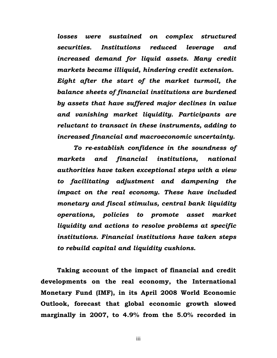*losses were sustained on complex structured securities. Institutions reduced leverage and increased demand for liquid assets. Many credit markets became illiquid, hindering credit extension. Eight after the start of the market turmoil, the balance sheets of financial institutions are burdened by assets that have suffered major declines in value and vanishing market liquidity. Participants are reluctant to transact in these instruments, adding to increased financial and macroeconomic uncertainty.* 

*To re-establish confidence in the soundness of markets and financial institutions, national authorities have taken exceptional steps with a view to facilitating adjustment and dampening the impact on the real economy. These have included monetary and fiscal stimulus, central bank liquidity operations, policies to promote asset market liquidity and actions to resolve problems at specific institutions. Financial institutions have taken steps to rebuild capital and liquidity cushions.* 

**Taking account of the impact of financial and credit developments on the real economy, the International Monetary Fund (IMF), in its April 2008 World Economic Outlook, forecast that global economic growth slowed marginally in 2007, to 4.9% from the 5.0% recorded in** 

iii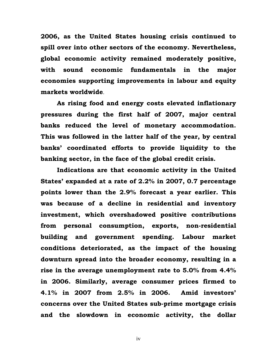**2006, as the United States housing crisis continued to spill over into other sectors of the economy. Nevertheless, global economic activity remained moderately positive, with sound economic fundamentals in the major economies supporting improvements in labour and equity markets worldwide**.

**As rising food and energy costs elevated inflationary pressures during the first half of 2007, major central banks reduced the level of monetary accommodation. This was followed in the latter half of the year, by central banks' coordinated efforts to provide liquidity to the banking sector, in the face of the global credit crisis.** 

**Indications are that economic activity in the United States' expanded at a rate of 2.2% in 2007, 0.7 percentage points lower than the 2.9% forecast a year earlier. This was because of a decline in residential and inventory investment, which overshadowed positive contributions from personal consumption, exports, non-residential building and government spending. Labour market conditions deteriorated, as the impact of the housing downturn spread into the broader economy, resulting in a rise in the average unemployment rate to 5.0% from 4.4% in 2006. Similarly, average consumer prices firmed to 4.1% in 2007 from 2.5% in 2006. Amid investors' concerns over the United States sub-prime mortgage crisis and the slowdown in economic activity, the dollar** 

iv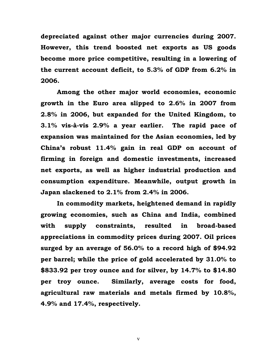**depreciated against other major currencies during 2007. However, this trend boosted net exports as US goods become more price competitive, resulting in a lowering of the current account deficit, to 5.3% of GDP from 6.2% in 2006.** 

**Among the other major world economies, economic growth in the Euro area slipped to 2.6% in 2007 from 2.8% in 2006, but expanded for the United Kingdom, to 3.1% vis-à-vis 2.9% a year earlier. The rapid pace of expansion was maintained for the Asian economies, led by China's robust 11.4% gain in real GDP on account of firming in foreign and domestic investments, increased net exports, as well as higher industrial production and consumption expenditure. Meanwhile, output growth in Japan slackened to 2.1% from 2.4% in 2006.** 

**In commodity markets, heightened demand in rapidly growing economies, such as China and India, combined with supply constraints, resulted in broad-based appreciations in commodity prices during 2007. Oil prices surged by an average of 56.0% to a record high of \$94.92 per barrel; while the price of gold accelerated by 31.0% to \$833.92 per troy ounce and for silver, by 14.7% to \$14.80 per troy ounce. Similarly, average costs for food, agricultural raw materials and metals firmed by 10.8%, 4.9% and 17.4%, respectively.** 

v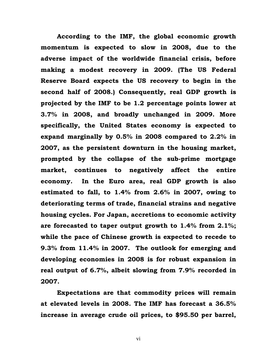**According to the IMF, the global economic growth momentum is expected to slow in 2008, due to the adverse impact of the worldwide financial crisis, before making a modest recovery in 2009. (The US Federal Reserve Board expects the US recovery to begin in the second half of 2008.) Consequently, real GDP growth is projected by the IMF to be 1.2 percentage points lower at 3.7% in 2008, and broadly unchanged in 2009. More specifically, the United States economy is expected to expand marginally by 0.5% in 2008 compared to 2.2% in 2007, as the persistent downturn in the housing market, prompted by the collapse of the sub-prime mortgage market, continues to negatively affect the entire economy. In the Euro area, real GDP growth is also estimated to fall, to 1.4% from 2.6% in 2007, owing to deteriorating terms of trade, financial strains and negative housing cycles. For Japan, accretions to economic activity are forecasted to taper output growth to 1.4% from 2.1%; while the pace of Chinese growth is expected to recede to 9.3% from 11.4% in 2007. The outlook for emerging and developing economies in 2008 is for robust expansion in real output of 6.7%, albeit slowing from 7.9% recorded in 2007.** 

**Expectations are that commodity prices will remain at elevated levels in 2008. The IMF has forecast a 36.5% increase in average crude oil prices, to \$95.50 per barrel,** 

vi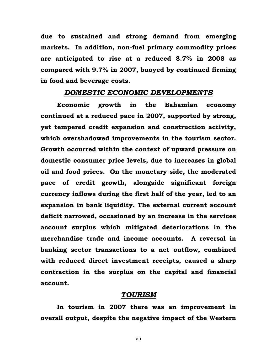**due to sustained and strong demand from emerging markets. In addition, non-fuel primary commodity prices are anticipated to rise at a reduced 8.7% in 2008 as compared with 9.7% in 2007, buoyed by continued firming in food and beverage costs.** 

#### *DOMESTIC ECONOMIC DEVELOPMENTS*

**Economic growth in the Bahamian economy continued at a reduced pace in 2007, supported by strong, yet tempered credit expansion and construction activity, which overshadowed improvements in the tourism sector. Growth occurred within the context of upward pressure on domestic consumer price levels, due to increases in global oil and food prices. On the monetary side, the moderated pace of credit growth, alongside significant foreign currency inflows during the first half of the year, led to an expansion in bank liquidity. The external current account deficit narrowed, occasioned by an increase in the services account surplus which mitigated deteriorations in the merchandise trade and income accounts. A reversal in banking sector transactions to a net outflow, combined with reduced direct investment receipts, caused a sharp contraction in the surplus on the capital and financial account.** 

#### *TOURISM*

**In tourism in 2007 there was an improvement in overall output, despite the negative impact of the Western** 

vii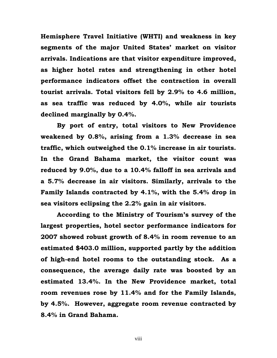**Hemisphere Travel Initiative (WHTI) and weakness in key segments of the major United States' market on visitor arrivals. Indications are that visitor expenditure improved, as higher hotel rates and strengthening in other hotel performance indicators offset the contraction in overall tourist arrivals. Total visitors fell by 2.9% to 4.6 million, as sea traffic was reduced by 4.0%, while air tourists declined marginally by 0.4%.** 

**By port of entry, total visitors to New Providence weakened by 0.8%, arising from a 1.3% decrease in sea traffic, which outweighed the 0.1% increase in air tourists. In the Grand Bahama market, the visitor count was reduced by 9.0%, due to a 10.4% falloff in sea arrivals and a 5.7% decrease in air visitors. Similarly, arrivals to the Family Islands contracted by 4.1%, with the 5.4% drop in sea visitors eclipsing the 2.2% gain in air visitors.** 

**According to the Ministry of Tourism's survey of the largest properties, hotel sector performance indicators for 2007 showed robust growth of 8.4% in room revenue to an estimated \$403.0 million, supported partly by the addition of high-end hotel rooms to the outstanding stock. As a consequence, the average daily rate was boosted by an estimated 13.4%. In the New Providence market, total room revenues rose by 11.4% and for the Family Islands, by 4.5%. However, aggregate room revenue contracted by 8.4% in Grand Bahama.** 

viii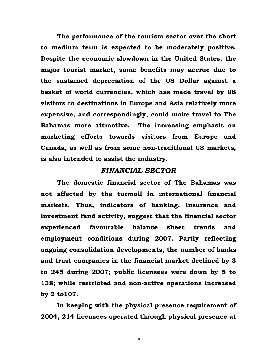**The performance of the tourism sector over the short to medium term is expected to be moderately positive. Despite the economic slowdown in the United States, the major tourist market, some benefits may accrue due to the sustained depreciation of the US Dollar against a basket of world currencies, which has made travel by US visitors to destinations in Europe and Asia relatively more expensive, and correspondingly, could make travel to The Bahamas more attractive. The increasing emphasis on marketing efforts towards visitors from Europe and Canada, as well as from some non-traditional US markets, is also intended to assist the industry.** 

# *FINANCIAL SECTOR*

**The domestic financial sector of The Bahamas was not affected by the turmoil in international financial markets. Thus, indicators of banking, insurance and investment fund activity, suggest that the financial sector experienced favourable balance sheet trends and employment conditions during 2007. Partly reflecting ongoing consolidation developments, the number of banks and trust companies in the financial market declined by 3 to 245 during 2007; public licensees were down by 5 to 138; while restricted and non-active operations increased by 2 to107.** 

**In keeping with the physical presence requirement of 2004, 214 licensees operated through physical presence at** 

ix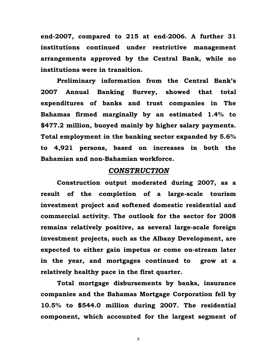**end-2007, compared to 215 at end-2006. A further 31 institutions continued under restrictive management arrangements approved by the Central Bank, while no institutions were in transition.** 

**Preliminary information from the Central Bank's 2007 Annual Banking Survey, showed that total expenditures of banks and trust companies in The Bahamas firmed marginally by an estimated 1.4% to \$477.2 million, buoyed mainly by higher salary payments. Total employment in the banking sector expanded by 5.6% to 4,921 persons, based on increases in both the Bahamian and non-Bahamian workforce.** 

#### *CONSTRUCTION*

**Construction output moderated during 2007, as a result of the completion of a large-scale tourism investment project and softened domestic residential and commercial activity. The outlook for the sector for 2008 remains relatively positive, as several large-scale foreign investment projects, such as the Albany Development, are expected to either gain impetus or come on-stream later in the year, and mortgages continued to grow at a relatively healthy pace in the first quarter.** 

**Total mortgage disbursements by banks, insurance companies and the Bahamas Mortgage Corporation fell by 10.5% to \$544.0 million during 2007. The residential component, which accounted for the largest segment of** 

x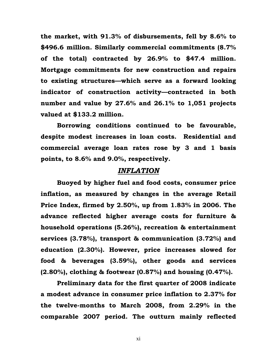**the market, with 91.3% of disbursements, fell by 8.6% to \$496.6 million. Similarly commercial commitments (8.7% of the total) contracted by 26.9% to \$47.4 million. Mortgage commitments for new construction and repairs to existing structures—which serve as a forward looking indicator of construction activity—contracted in both number and value by 27.6% and 26.1% to 1,051 projects valued at \$133.2 million.** 

**Borrowing conditions continued to be favourable, despite modest increases in loan costs. Residential and commercial average loan rates rose by 3 and 1 basis points, to 8.6% and 9.0%, respectively.** 

# *INFLATION*

**Buoyed by higher fuel and food costs, consumer price inflation, as measured by changes in the average Retail Price Index, firmed by 2.50%, up from 1.83% in 2006. The advance reflected higher average costs for furniture & household operations (5.26%), recreation & entertainment services (3.78%), transport & communication (3.72%) and education (2.30%). However, price increases slowed for food & beverages (3.59%), other goods and services (2.80%), clothing & footwear (0.87%) and housing (0.47%).** 

**Preliminary data for the first quarter of 2008 indicate a modest advance in consumer price inflation to 2.37% for the twelve-months to March 2008, from 2.29% in the comparable 2007 period. The outturn mainly reflected** 

xi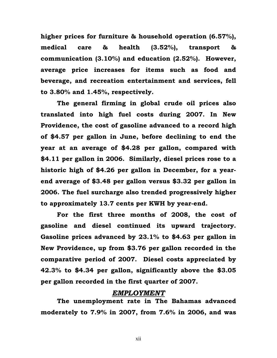**higher prices for furniture & household operation (6.57%), medical care & health (3.52%), transport & communication (3.10%) and education (2.52%). However, average price increases for items such as food and beverage, and recreation entertainment and services, fell to 3.80% and 1.45%, respectively.** 

**The general firming in global crude oil prices also translated into high fuel costs during 2007. In New Providence, the cost of gasoline advanced to a record high of \$4.57 per gallon in June, before declining to end the year at an average of \$4.28 per gallon, compared with \$4.11 per gallon in 2006. Similarly, diesel prices rose to a historic high of \$4.26 per gallon in December, for a yearend average of \$3.48 per gallon versus \$3.32 per gallon in 2006. The fuel surcharge also trended progressively higher to approximately 13.7 cents per KWH by year-end.** 

**For the first three months of 2008, the cost of gasoline and diesel continued its upward trajectory. Gasoline prices advanced by 23.1% to \$4.63 per gallon in New Providence, up from \$3.76 per gallon recorded in the comparative period of 2007. Diesel costs appreciated by 42.3% to \$4.34 per gallon, significantly above the \$3.05 per gallon recorded in the first quarter of 2007.** 

#### *EMPLOYMENT*

**The unemployment rate in The Bahamas advanced moderately to 7.9% in 2007, from 7.6% in 2006, and was** 

xii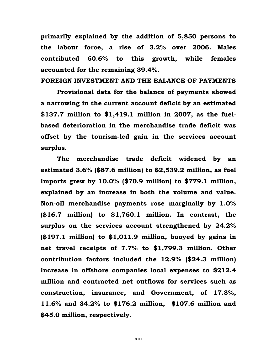**primarily explained by the addition of 5,850 persons to the labour force, a rise of 3.2% over 2006. Males contributed 60.6% to this growth, while females accounted for the remaining 39.4%.** 

#### **FOREIGN INVESTMENT AND THE BALANCE OF PAYMENTS**

**Provisional data for the balance of payments showed a narrowing in the current account deficit by an estimated \$137.7 million to \$1,419.1 million in 2007, as the fuelbased deterioration in the merchandise trade deficit was offset by the tourism-led gain in the services account surplus.** 

**The merchandise trade deficit widened by an estimated 3.6% (\$87.6 million) to \$2,539.2 million, as fuel imports grew by 10.0% (\$70.9 million) to \$779.1 million, explained by an increase in both the volume and value. Non-oil merchandise payments rose marginally by 1.0% (\$16.7 million) to \$1,760.1 million. In contrast, the surplus on the services account strengthened by 24.2% (\$197.1 million) to \$1,011.9 million, buoyed by gains in net travel receipts of 7.7% to \$1,799.3 million. Other contribution factors included the 12.9% (\$24.3 million) increase in offshore companies local expenses to \$212.4 million and contracted net outflows for services such as construction, insurance, and Government, of 17.8%, 11.6% and 34.2% to \$176.2 million, \$107.6 million and \$45.0 million, respectively.** 

xiii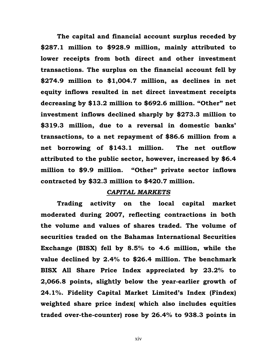**The capital and financial account surplus receded by \$287.1 million to \$928.9 million, mainly attributed to lower receipts from both direct and other investment transactions. The surplus on the financial account fell by \$274.9 million to \$1,004.7 million, as declines in net equity inflows resulted in net direct investment receipts decreasing by \$13.2 million to \$692.6 million. "Other" net investment inflows declined sharply by \$273.3 million to \$319.3 million, due to a reversal in domestic banks' transactions, to a net repayment of \$86.6 million from a net borrowing of \$143.1 million. The net outflow attributed to the public sector, however, increased by \$6.4 million to \$9.9 million. "Other" private sector inflows contracted by \$32.3 million to \$420.7 million.** 

#### *CAPITAL MARKETS*

**Trading activity on the local capital market moderated during 2007, reflecting contractions in both the volume and values of shares traded. The volume of securities traded on the Bahamas International Securities Exchange (BISX) fell by 8.5% to 4.6 million, while the value declined by 2.4% to \$26.4 million. The benchmark BISX All Share Price Index appreciated by 23.2% to 2,066.8 points, slightly below the year-earlier growth of 24.1%. Fidelity Capital Market Limited's Index (Findex) weighted share price index( which also includes equities traded over-the-counter) rose by 26.4% to 938.3 points in** 

xiv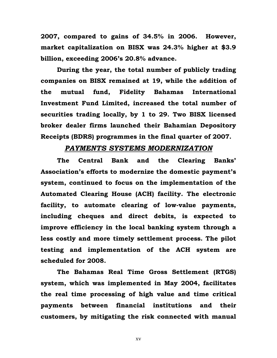**2007, compared to gains of 34.5% in 2006. However, market capitalization on BISX was 24.3% higher at \$3.9 billion, exceeding 2006's 20.8% advance.** 

**During the year, the total number of publicly trading companies on BISX remained at 19, while the addition of the mutual fund, Fidelity Bahamas International Investment Fund Limited, increased the total number of securities trading locally, by 1 to 29. Two BISX licensed broker dealer firms launched their Bahamian Depository Receipts (BDRS) programmes in the final quarter of 2007.** 

# *PAYMENTS SYSTEMS MODERNIZATION*

**The Central Bank and the Clearing Banks' Association's efforts to modernize the domestic payment's system, continued to focus on the implementation of the Automated Clearing House (ACH) facility. The electronic facility, to automate clearing of low-value payments, including cheques and direct debits, is expected to improve efficiency in the local banking system through a less costly and more timely settlement process. The pilot testing and implementation of the ACH system are scheduled for 2008.** 

**The Bahamas Real Time Gross Settlement (RTGS) system, which was implemented in May 2004, facilitates the real time processing of high value and time critical payments between financial institutions and their customers, by mitigating the risk connected with manual** 

xv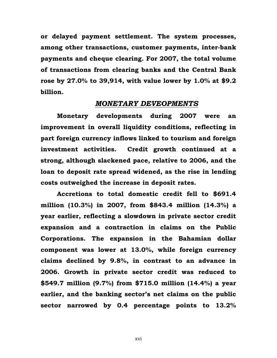**or delayed payment settlement. The system processes, among other transactions, customer payments, inter-bank payments and cheque clearing. For 2007, the total volume of transactions from clearing banks and the Central Bank rose by 27.0% to 39,914, with value lower by 1.0% at \$9.2 billion.** 

### *MONETARY DEVEOPMENTS*

**Monetary developments during 2007 were an improvement in overall liquidity conditions, reflecting in part foreign currency inflows linked to tourism and foreign investment activities. Credit growth continued at a strong, although slackened pace, relative to 2006, and the loan to deposit rate spread widened, as the rise in lending costs outweighed the increase in deposit rates.** 

**Accretions to total domestic credit fell to \$691.4 million (10.3%) in 2007, from \$843.4 million (14.3%) a year earlier, reflecting a slowdown in private sector credit expansion and a contraction in claims on the Public Corporations. The expansion in the Bahamian dollar component was lower at 13.0%, while foreign currency claims declined by 9.8%, in contrast to an advance in 2006. Growth in private sector credit was reduced to \$549.7 million (9.7%) from \$715.0 million (14.4%) a year earlier, and the banking sector's net claims on the public sector narrowed by 0.4 percentage points to 13.2%** 

xvi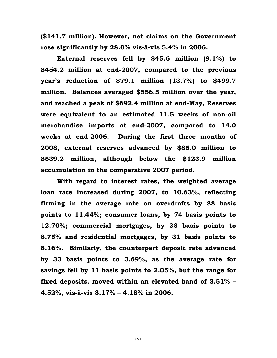**(\$141.7 million). However, net claims on the Government rose significantly by 28.0% vis-à-vis 5.4% in 2006.** 

**External reserves fell by \$45.6 million (9.1%) to \$454.2 million at end-2007, compared to the previous year's reduction of \$79.1 million (13.7%) to \$499.7 million. Balances averaged \$556.5 million over the year, and reached a peak of \$692.4 million at end-May, Reserves were equivalent to an estimated 11.5 weeks of non-oil merchandise imports at end-2007, compared to 14.0 weeks at end-2006. During the first three months of 2008, external reserves advanced by \$85.0 million to \$539.2 million, although below the \$123.9 million accumulation in the comparative 2007 period.** 

**With regard to interest rates, the weighted average loan rate increased during 2007, to 10.63%, reflecting firming in the average rate on overdrafts by 88 basis points to 11.44%; consumer loans, by 74 basis points to 12.70%; commercial mortgages, by 38 basis points to 8.75% and residential mortgages, by 31 basis points to 8.16%. Similarly, the counterpart deposit rate advanced by 33 basis points to 3.69%, as the average rate for savings fell by 11 basis points to 2.05%, but the range for fixed deposits, moved within an elevated band of 3.51% – 4.52%, vis-à-vis 3.17% – 4.18% in 2006.** 

xvii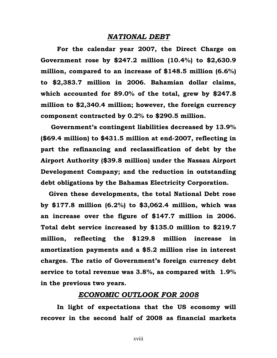#### *NATIONAL DEBT*

**For the calendar year 2007, the Direct Charge on Government rose by \$247.2 million (10.4%) to \$2,630.9 million, compared to an increase of \$148.5 million (6.6%) to \$2,383.7 million in 2006. Bahamian dollar claims, which accounted for 89.0% of the total, grew by \$247.8 million to \$2,340.4 million; however, the foreign currency component contracted by 0.2% to \$290.5 million.** 

 **Government's contingent liabilities decreased by 13.9% (\$69.4 million) to \$431.5 million at end-2007, reflecting in part the refinancing and reclassification of debt by the Airport Authority (\$39.8 million) under the Nassau Airport Development Company; and the reduction in outstanding debt obligations by the Bahamas Electricity Corporation.** 

**Given these developments, the total National Debt rose by \$177.8 million (6.2%) to \$3,062.4 million, which was an increase over the figure of \$147.7 million in 2006. Total debt service increased by \$135.0 million to \$219.7 million, reflecting the \$129.8 million increase in amortization payments and a \$5.2 million rise in interest charges. The ratio of Government's foreign currency debt service to total revenue was 3.8%, as compared with 1.9% in the previous two years.** 

# *ECONOMIC OUTLOOK FOR 2008*

**In light of expectations that the US economy will recover in the second half of 2008 as financial markets** 

xviii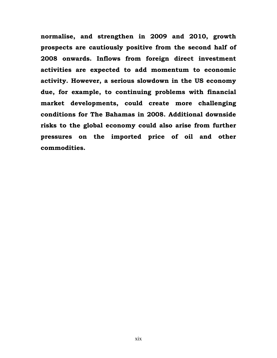**normalise, and strengthen in 2009 and 2010, growth prospects are cautiously positive from the second half of 2008 onwards. Inflows from foreign direct investment activities are expected to add momentum to economic activity. However, a serious slowdown in the US economy due, for example, to continuing problems with financial market developments, could create more challenging conditions for The Bahamas in 2008. Additional downside risks to the global economy could also arise from further pressures on the imported price of oil and other commodities.**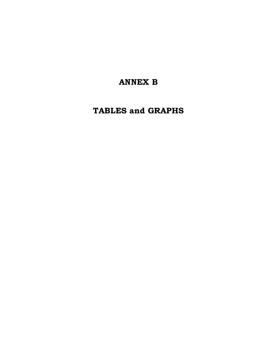# **ANNEX B**

**TABLES and GRAPHS**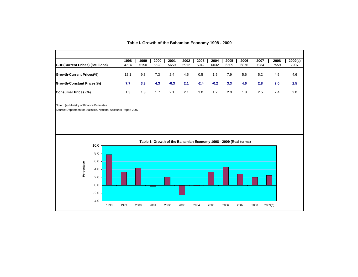

**Table I. Growth of the Bahamian Economy 1998 - 2009**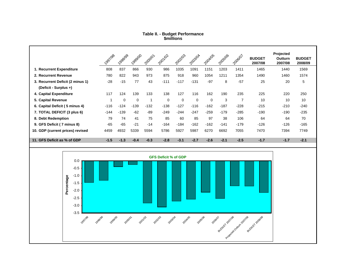|                                  | 1997/98 | 1998/99     | 1999100  | 2000/01 | 2001/02  | 202103 | 2003/04     | 2004/05  | 2005/06 | 2006/07        | <b>BUDGET</b><br>2007/08 | Projected<br>Outturn<br>2007/08 | <b>BUDGET</b><br>2008/09 |
|----------------------------------|---------|-------------|----------|---------|----------|--------|-------------|----------|---------|----------------|--------------------------|---------------------------------|--------------------------|
| 1. Recurrent Expenditure         | 808     | 837         | 866      | 930     | 986      | 1035   | 1091        | 1151     | 1203    | 1411           | 1465                     | 1440                            | 1569                     |
| 2. Recurrent Revenue             | 780     | 822         | 943      | 973     | 875      | 918    | 960         | 1054     | 1211    | 1354           | 1490                     | 1460                            | 1574                     |
| 3. Recurrent Deficit (2 minus 1) | $-28$   | $-15$       | 77       | 43      | $-111$   | $-117$ | $-131$      | $-97$    | 8       | $-57$          | 25                       | 20                              | 5                        |
| (Deficit - Surplus +)            |         |             |          |         |          |        |             |          |         |                |                          |                                 |                          |
| 4. Capital Expenditure           | 117     | 124         | 139      | 133     | 138      | 127    | 116         | 162      | 190     | 235            | 225                      | 220                             | 250                      |
| 5. Capital Revenue               |         | $\mathbf 0$ | $\Omega$ |         | $\Omega$ | 0      | $\mathbf 0$ | $\Omega$ | 3       | $\overline{7}$ | 10                       | 10                              | 10                       |
| 6. Capital Deficit (5 minus 4)   | $-116$  | $-124$      | $-139$   | $-132$  | $-138$   | $-127$ | $-116$      | $-162$   | $-187$  | $-228$         | $-215$                   | $-210$                          | $-240$                   |
| 7. TOTAL DEFICIT (3 plus 6)      | $-144$  | $-139$      | $-62$    | -89     | $-249$   | $-244$ | $-247$      | $-259$   | $-179$  | $-285$         | $-190$                   | $-190$                          | $-235$                   |
| 8. Debt Redemption               | 79      | 74          | 41       | 75      | 85       | 60     | 85          | 97       | 38      | 106            | 64                       | 64                              | 70                       |
| 9. GFS Deficit (7 minus 8)       | $-65$   | $-65$       | $-21$    | $-14$   | $-164$   | $-184$ | $-162$      | $-162$   | $-141$  | $-179$         | $-126$                   | $-126$                          | $-165$                   |
| 10. GDP (current prices) revised | 4459    | 4932        | 5339     | 5594    | 5786     | 5927   | 5987        | 6270     | 6692    | 7055           | 7470                     | 7394                            | 7749                     |
| 11. GFS Deficit as % of GDP      | $-1.5$  | $-1.3$      | $-0.4$   | $-0.3$  | $-2.8$   | $-3.1$ | $-2.7$      | $-2.6$   | $-2.1$  | $-2.5$         | $-1.7$                   | $-1.7$                          | $-2.1$                   |



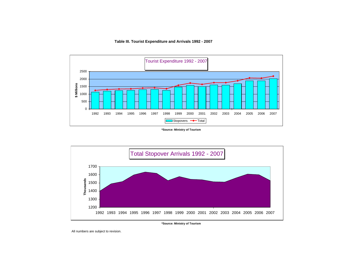#### **Table III. Tourist Expenditure and Arrivals 1992 - 2007**



**<sup>\*</sup>Source: Ministry of Tourism**



**<sup>\*</sup>Source: Ministry of Tourism**

All numbers are subject to revision.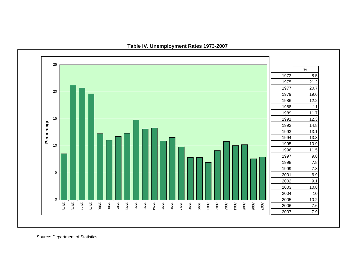

**Table IV. Unemployment Rates 1973-2007**

Source: Department of Statistics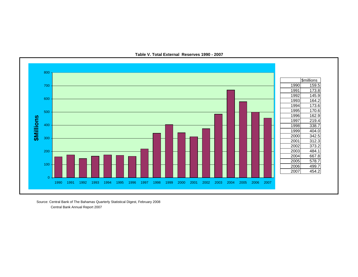

**Table V. Total External Reserves 1990 - 2007**

Source: Central Bank of The Bahamas Quarterly Statistical Digest, February 2008 Central Bank Annual Report 2007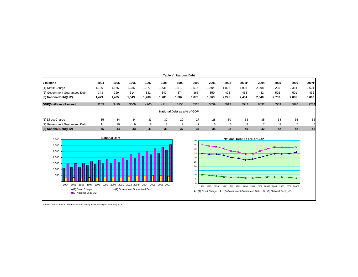

Source: Central Bank of The Bahamas Quarterly Statistical Digest February 2008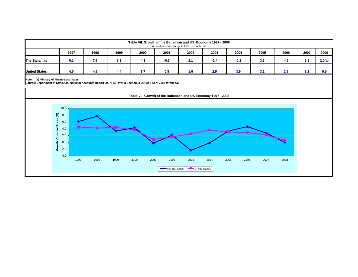|                      | Table VII. Growth of the Bahamian and US Economy 1997 - 2008<br>Annual percent change in GDP in real terms |      |      |      |        |      |        |        |      |      |      |        |
|----------------------|------------------------------------------------------------------------------------------------------------|------|------|------|--------|------|--------|--------|------|------|------|--------|
|                      | 1997                                                                                                       | 1998 | 1999 | 2000 | 2001   | 2002 | 2003   | 2004   | 2005 | 2006 | 2007 | 2008   |
| The Bahamas          | 6.1                                                                                                        | 7.7  | 3.3  | 4.3  | $-0.3$ | 2.1  | $-2.4$ | $-0.2$ | 3.3  | 4.6  | 2.8  | 2.0(a) |
| <b>United States</b> | 4.5                                                                                                        | 4.2  | 4.4  | 3.7  | 0.8    | 1.6  | 2.5    | 3.6    | 3.1  | 2.9  | 2.2  | 0.5    |

**Note: (a) Ministry of Finance estimates Source: Department of Statistics, National Accounts Report 2007; IMF World Economic Outlook April 2008 for the US**

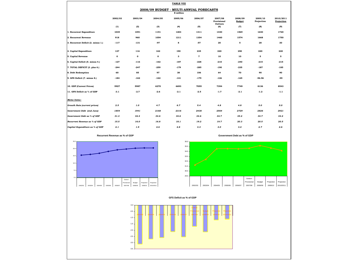|                                     |         |             |                  | <b>TABLE VIII</b> |                               |                                   |                          |                       |                         |
|-------------------------------------|---------|-------------|------------------|-------------------|-------------------------------|-----------------------------------|--------------------------|-----------------------|-------------------------|
|                                     |         |             | 2008/09 BUDGET - |                   | <b>MULTI-ANNUAL FORECASTS</b> |                                   |                          |                       |                         |
|                                     |         |             |                  | \$ million        |                               |                                   |                          |                       |                         |
|                                     | 2002/03 | 2003/04     | 2004/05          | 2005/06           | 2006/07                       | 2007/08<br>Provisional<br>Outturn | 2008/09<br><b>Budget</b> | 2009/10<br>Projection | 2010/2011<br>Projection |
|                                     | (1)     | (2)         | (3)              | (4)               | (5)                           | (6)                               | (7)                      | (8)                   | (9)                     |
| 1. Recurrent Expenditure            | 1035    | 1091        | 1151             | 1203              | 1411                          | 1440                              | 1569                     | 1640                  | 1720                    |
| 2. Recurrent Revenue                | 918     | 960         | 1054             | 1211              | 1354                          | 1460                              | 1574                     | 1668                  | 1750                    |
| 3. Recurrent Deficit (2. minus 1.)  | $-117$  | $-131$      | $-97$            | 8                 | $-57$                         | 20                                | 5                        | 28                    | 30                      |
| 4. Capital Expenditure              | 127     | 116         | 162              | 190               | 235                           | 220                               | 250                      | 220                   | 220                     |
| 5. Capital Revenue                  | 0       | $\mathbf 0$ | 0                | з                 | $\overline{7}$                | 10                                | 10                       | 5                     | 5                       |
| 6. Capital Deficit (5. minus 4.)    | $-127$  | $-116$      | $-162$           | $-187$            | $-228$                        | -210                              | -240                     | $-215$                | $-215$                  |
| 7. TOTAL DEFICIT (3. plus 6.)       | $-244$  | $-247$      | $-259$           | $-179$            | $-285$                        | -190                              | $-235$                   | $-187$                | $-185$                  |
| 8. Debt Redemption                  | 60      | 85          | 97               | 38                | 106                           | 64                                | 70                       | 90                    | 90                      |
| 9. GFS Deficit (7. minus 8.)        | -184    | $-162$      | -162             | -141              | $-179$                        | $-126$                            | $-165$                   | $-96.56$              | $-95$                   |
| 10. GDP (Current Prices)            | 5927    | 5987        | 6270             | 6693              | 7055                          | 7394                              | 7749                     | 8136                  | 8543                    |
| 11. GFS Deficit as % of GDP         | $-3.1$  | $-2.7$      | $-2.6$           | $-2.1$            | $-2.5$                        | $-1.7$                            | $-2.1$                   | $-1.2$                | $-1.1$                  |
| Memo items:-                        |         |             |                  |                   |                               |                                   |                          |                       |                         |
| <b>Growth Rate (current prices)</b> | 2.5     | 1.0         | 4.7              | 6.7               | 5.4                           | 4.8                               | 4.8                      | $5.0\,$               | 5.0                     |
| Government Debt (end June)          | 1854    | 1941        | 2168             | 2316              | 2438                          | 2564                              | 2729                     | 2826                  | 2921                    |
| Government Debt as % of GDP         | 31.3    | 32.4        | 34.6             | 34.6              | 34.6                          | 34.7                              | 35.2                     | 34.7                  | 34.2                    |
| Recurrent Revenue as % of GDP       | 15.5    | 16.0        | 16.8             | 18.1              | 19.2                          | 19.7                              | 20.3                     | 20.5                  | 20.5                    |
| Capital Expenditure as % of GDP     | 2.1     | 1.9         | 2.6              | 2.8               | 3.3                           | 3.0                               | 3.2                      | 2.7                   | 2.6                     |

#### **Recurrent Revenue as % of GDP**







**GFS Deficit as % of GDP**

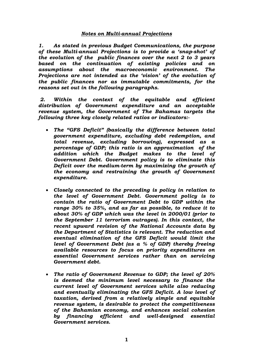#### *Notes on Multi-annual Projections*

*1. As stated in previous Budget Communications, the purpose of these Multi-annual Projections is to provide a 'snap-shot' of the evolution of the public finances over the next 2 to 3 years based on the continuation of existing policies and on assumptions about the macroeconomic environment. The Projections are not intended as the 'vision' of the evolution of the public finances nor as immutable commitments, for the reasons set out in the following paragraphs.* 

2. Within the context of the equitable and efficient *distribution of Government expenditure and an acceptable revenue system, the Government of The Bahamas targets the following three key closely related ratios or indicators:-* 

- *The "GFS Deficit" (basically the difference between total government expenditure, excluding debt redemption, and total revenue, excluding borrowing), expressed as a percentage of GDP; this ratio is an approximation of the addition which the Budget makes to the level of Government Debt. Government policy is to eliminate this Deficit over the medium-term by maximizing the growth of the economy and restraining the growth of Government expenditure.*
- *Closely connected to the preceding is policy in relation to the level of Government Debt. Government policy is to contain the ratio of Government Debt to GDP within the range 30% to 35%, and as far as possible, to reduce it to about 30% of GDP which was the level in 2000/01 (prior to the September 11 terrorism outrages). In this context, the recent upward revision of the National Accounts data by the Department of Statistics is relevant. The reduction and eventual elimination of the GFS Deficit would limit the level of Government Debt (as a % of GDP) thereby freeing available resources to focus on priority expenditures on essential Government services rather than on servicing Government debt.*
- *The ratio of Government Revenue to GDP; the level of 20% is deemed the minimum level necessary to finance the current level of Government services while also reducing and eventually eliminating the GFS Deficit. A low level of taxation, derived from a relatively simple and equitable revenue system, is desirable to protect the competitiveness of the Bahamian economy, and enhances social cohesion by financing efficient and well-designed essential Government services.*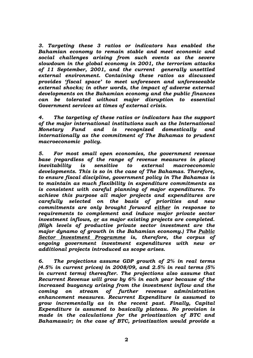*3. Targeting these 3 ratios or indicators has enabled the Bahamian economy to remain stable and meet economic and social challenges arising from such events as the severe slowdown in the global economy in 2001, the terrorism attacks of 11 September, 2001, and the current generally unsettled external environment. Containing these ratios as discussed provides 'fiscal space' to meet unforeseen and unforeseeable external shocks; in other words, the impact of adverse external developments on the Bahamian economy and the public finances can be tolerated without major disruption to essential Government services at times of external crisis.* 

*4. The targeting of these ratios or indicators has the support of the major international institutions such as the International Monetary Fund and is recognized domestically and internationally as the commitment of The Bahamas to prudent macroeconomic policy.* 

*5. For most small open economies, the government revenue base (regardless of the range of revenue measures in place) inevitability is sensitive to external macroeconomic developments. This is so in the case of The Bahamas. Therefore, to ensure fiscal discipline, government policy in The Bahamas is to maintain as much flexibility in expenditure commitments as is consistent with careful planning of major expenditures. To achieve this purpose all major projects and expenditures are carefully selected on the basis of priorities and new commitments are only brought forward either in response to requirements to complement and induce major private sector investment inflows, or as major existing projects are completed. (High levels of productive private sector investment are the major dynamo of growth in the Bahamian economy.) The Public Sector Investment Programme is, therefore, the corpus of ongoing government investment expenditures with new or additional projects introduced as scope arises.* 

*6. The projections assume GDP growth of 2% in real terms (4.5% in current prices) in 2008/09, and 2.5% in real terms (5% in current terms) thereafter. The projections also assume that Recurrent Revenue will grow by 6% in each year because of the increased buoyancy arising from the investment inflow and the coming on stream of further revenue administration enhancement measures. Recurrent Expenditure is assumed to grow incrementally as in the recent past. Finally, Capital Expenditure is assumed to basically plateau. No provision is made in the calculations for the privatization of BTC and Bahamasair; in the case of BTC, privatization would provide a*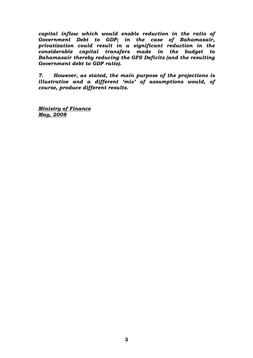*capital inflow which would enable reduction in the ratio of Government Debt to GDP; in the case of Bahamasair, privatization could result in a significant reduction in the considerable capital transfers made in the budget to Bahamasair thereby reducing the GFS Deficits (and the resulting Government debt to GDP ratio).* 

*7. However, as stated, the main purpose of the projections is illustrative and a different 'mix' of assumptions would, of course, produce different results.* 

*Ministry of Finance May, 2008*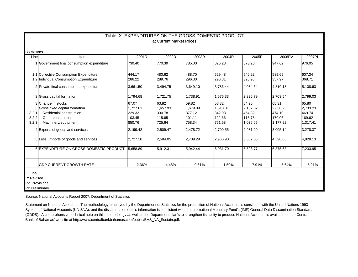|                                                              |                                                                                                                                                                                                                                                       |                                                                                     |                                                                                     |                                                                                     | Table IX: EXPENDITURES ON THE GROSS DOMESTIC PRODUCT                                |                                                                                       |                                                                                       |                                                                                       |
|--------------------------------------------------------------|-------------------------------------------------------------------------------------------------------------------------------------------------------------------------------------------------------------------------------------------------------|-------------------------------------------------------------------------------------|-------------------------------------------------------------------------------------|-------------------------------------------------------------------------------------|-------------------------------------------------------------------------------------|---------------------------------------------------------------------------------------|---------------------------------------------------------------------------------------|---------------------------------------------------------------------------------------|
|                                                              |                                                                                                                                                                                                                                                       |                                                                                     | at Current Market Prices                                                            |                                                                                     |                                                                                     |                                                                                       |                                                                                       |                                                                                       |
|                                                              |                                                                                                                                                                                                                                                       |                                                                                     |                                                                                     |                                                                                     |                                                                                     |                                                                                       |                                                                                       |                                                                                       |
| <b>B\$</b> millions<br>Line                                  | Item                                                                                                                                                                                                                                                  | 2001R                                                                               | 2002R                                                                               | 2003R                                                                               | 2004R                                                                               | 2005R                                                                                 | 2006PV                                                                                | 2007PL                                                                                |
|                                                              | 1 Government final consumption expenditure                                                                                                                                                                                                            | 730.40                                                                              | 770.39                                                                              | 785.00                                                                              | 826.28                                                                              | 873.20                                                                                | 947.62                                                                                | 976.05                                                                                |
|                                                              | 1.1 Collective Consumption Expenditure                                                                                                                                                                                                                | 444.17                                                                              | 480.62                                                                              | 488.70                                                                              | 529.48                                                                              | 546.22                                                                                | 589.65                                                                                | 607.34                                                                                |
|                                                              | 1.2 Individual Consumption Expenditure                                                                                                                                                                                                                | 286.22                                                                              | 289.76                                                                              | 296.30                                                                              | 296.81                                                                              | 326.98                                                                                | 357.97                                                                                | 368.71                                                                                |
|                                                              | 2 Private final consumption expenditure                                                                                                                                                                                                               | 3,661.50                                                                            | 3,494.75                                                                            | 3,649.10                                                                            | 3,786.44                                                                            | 4,084.54                                                                              | 4,810.18                                                                              | 5,108.63                                                                              |
|                                                              | 3 Gross capital formation                                                                                                                                                                                                                             | 1,794.68                                                                            | 1,721.75                                                                            | 1,738.91                                                                            | 1,676.33                                                                            | 2,226.79                                                                              | 2,703.54                                                                              | 2,799.03                                                                              |
| 3.2.1<br>3.2.2<br>3.2.3                                      | 3 Change in stocks<br>3 Gross fixed capital formation<br>Residential construction<br>Other construction<br>Machinery/equipment<br>4 Exports of goods and services<br>5 Less: Imports of goods and services<br>6 EXPENDITURE ON GROSS DOMESTIC PRODUCT | 67.07<br>1,727.61<br>229.33<br>103.45<br>850.76<br>2,199.42<br>2,727.10<br>5,658.89 | 63.82<br>1,657.93<br>330.78<br>115.65<br>725.64<br>2,509.47<br>2,584.05<br>5,912.31 | 59.82<br>1,679.09<br>377.12<br>101.11<br>758.34<br>2,478.72<br>2,709.29<br>5,942.44 | 58.32<br>1,618.01<br>342.98<br>122.66<br>751.58<br>2,709.55<br>2,966.90<br>6,031.70 | 64.26<br>2,162.52<br>454.82<br>118.78<br>1,036.05<br>2,981.29<br>3,657.05<br>6,508.77 | 65.31<br>2,638.23<br>474.10<br>170.06<br>1,177.92<br>3,005.14<br>4,590.86<br>6,875.63 | 65.80<br>2,733.23<br>469.74<br>169.62<br>1,317.41<br>3,278.37<br>4,928.13<br>7,233.95 |
|                                                              |                                                                                                                                                                                                                                                       |                                                                                     |                                                                                     |                                                                                     |                                                                                     |                                                                                       |                                                                                       |                                                                                       |
|                                                              | <b>GDP CURRENT GROWTH RATE</b>                                                                                                                                                                                                                        | 2.36%                                                                               | 4.48%                                                                               | 0.51%                                                                               | 1.50%                                                                               | 7.91%                                                                                 | 5.64%                                                                                 | 5.21%                                                                                 |
| F: Final<br>R: Revised<br>Pv: Provisional<br>PI: Preliminary |                                                                                                                                                                                                                                                       |                                                                                     |                                                                                     |                                                                                     |                                                                                     |                                                                                       |                                                                                       |                                                                                       |

#### Source: National Accounts Report 2007, Department of Statistics

Statement on National Accounts - The methodology employed by the Department of Statistics for the production of National Accounts is consistent with the United Nations 1993 System of National Accounts (UN SNA), and the dissemination of this information is consistent with the International Monetary Fund's (IMF) General Data Dissemination Standards (GDDS). A comprehensive technical note on this methodology as well as the Department plan's to strengthen its ability to produce National Accounts is available on the Central Bank of Bahamas' website at http://www.centralbankbahamas.com/public/BHS\_NA\_Sustain.pdf.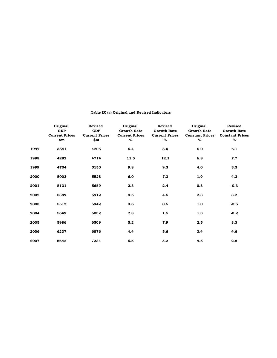|      | Original<br><b>GDP</b><br><b>Current Prices</b><br>$\boldsymbol{\$m}$ | Revised<br><b>GDP</b><br><b>Current Prices</b><br>$\mathbf{\$m}$ | Original<br><b>Growth Rate</b><br><b>Current Prices</b><br>$\%$ | <b>Revised</b><br><b>Growth Rate</b><br><b>Current Prices</b><br>% | Original<br><b>Growth Rate</b><br><b>Constant Prices</b><br>% | <b>Revised</b><br><b>Growth Rate</b><br><b>Constant Prices</b><br>$\%$ |
|------|-----------------------------------------------------------------------|------------------------------------------------------------------|-----------------------------------------------------------------|--------------------------------------------------------------------|---------------------------------------------------------------|------------------------------------------------------------------------|
| 1997 | 3841                                                                  | 4205                                                             | 6.4                                                             | 8.0                                                                | 5.0                                                           | 6.1                                                                    |
| 1998 | 4282                                                                  | 4714                                                             | 11.5                                                            | 12.1                                                               | 6.8                                                           | 7.7                                                                    |
| 1999 | 4704                                                                  | 5150                                                             | 9.8                                                             | 9.3                                                                | 4.0                                                           | 3.3                                                                    |
| 2000 | 5003                                                                  | 5528                                                             | 6.0                                                             | 7.3                                                                | 1.9                                                           | 4.3                                                                    |
| 2001 | 5131                                                                  | 5659                                                             | 2.3                                                             | 2.4                                                                | 0.8                                                           | $-0.3$                                                                 |
| 2002 | 5389                                                                  | 5912                                                             | 4.5                                                             | 4.5                                                                | 2.3                                                           | 3.2                                                                    |
| 2003 | 5512                                                                  | 5942                                                             | 3.6                                                             | 0.5                                                                | 1.0                                                           | $-3.5$                                                                 |
| 2004 | 5649                                                                  | 6032                                                             | 2.8                                                             | 1.5                                                                | 1.3                                                           | $-0.2$                                                                 |
| 2005 | 5986                                                                  | 6509                                                             | 5.2                                                             | 7.9                                                                | 2.5                                                           | 3.3                                                                    |
| 2006 | 6237                                                                  | 6876                                                             | 4.4                                                             | 5.6                                                                | 3.4                                                           | 4.6                                                                    |
| 2007 | 6642                                                                  | 7234                                                             | 6.5                                                             | 5.2                                                                | 4.5                                                           | 2.8                                                                    |

#### **Table IX (a) Original and Revised Indicators**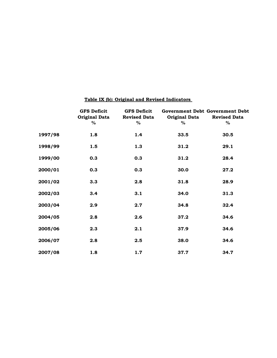|         | <b>GFS Deficit</b><br><b>Original Data</b> | <b>GFS Deficit</b><br><b>Revised Data</b> | <b>Government Debt Government Debt</b><br><b>Original Data</b> | <b>Revised Data</b> |  |  |
|---------|--------------------------------------------|-------------------------------------------|----------------------------------------------------------------|---------------------|--|--|
|         | %                                          | %                                         | %                                                              | %                   |  |  |
| 1997/98 | 1.8                                        | 1.4                                       | 33.5                                                           | 30.5                |  |  |
| 1998/99 | 1.5                                        | 1.3                                       | 31.2                                                           | 29.1                |  |  |
| 1999/00 | 0.3                                        | 0.3                                       | 31.2                                                           | 28.4                |  |  |
| 2000/01 | 0.3                                        | 0.3                                       | 30.0                                                           | 27.2                |  |  |
| 2001/02 | 3.3                                        | 2.8                                       | 31.8                                                           | 28.9                |  |  |
| 2002/03 | 3.4                                        | 3.1                                       | 34.0                                                           | 31.3                |  |  |
| 2003/04 | 2.9                                        | 2.7                                       | 34.8                                                           | 32.4                |  |  |
| 2004/05 | 2.8                                        | 2.6                                       | 37.2                                                           | 34.6                |  |  |
| 2005/06 | 2.3                                        | 2.1                                       | 37.9                                                           | 34.6                |  |  |
| 2006/07 | 2.8                                        | 2.5                                       | 38.0                                                           | 34.6                |  |  |
| 2007/08 | 1.8                                        | 1.7                                       | 37.7                                                           | 34.7                |  |  |

#### **Table IX (b): Original and Revised Indicators**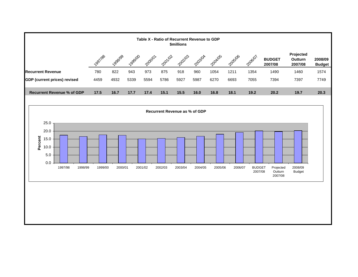